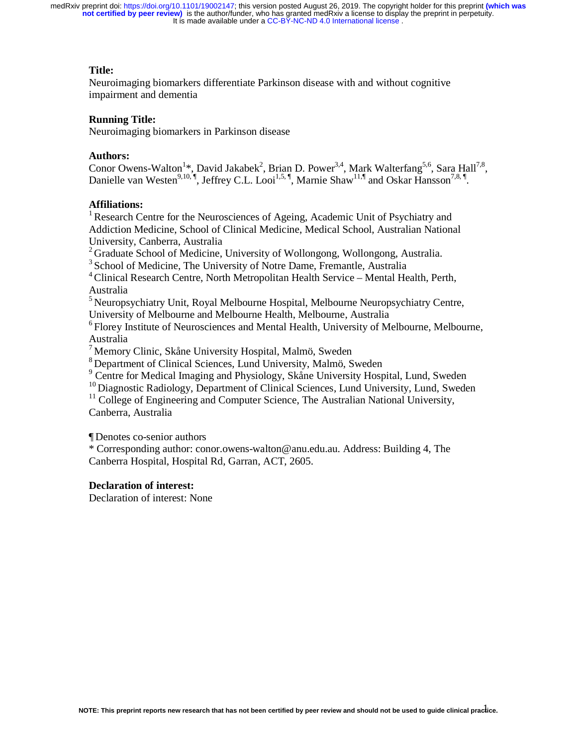# **Title:**

Neuroimaging biomarkers differentiate Parkinson disease with and without cognitive impairment and dementia

# **Running Title:**

Neuroimaging biomarkers in Parkinson disease

# **Authors:**

Conor Owens-Walton<sup>1\*</sup>, David Jakabek<sup>2</sup>, Brian D. Power<sup>3,4</sup>, Mark Walterfang<sup>5,6</sup>, Sara Hall<sup>7,8</sup>, Danielle van Westen<sup>9,10, ¶</sup>, Jeffrey C.L. Looi<sup>1,5, ¶</sup>, Marnie Shaw<sup>11,¶</sup> and Oskar Hansson<sup>7,8, ¶</sup>.

# **Affiliations:**

<sup>1</sup> Research Centre for the Neurosciences of Ageing, Academic Unit of Psychiatry and Addiction Medicine, School of Clinical Medicine, Medical School, Australian National University, Canberra, Australia

 $2<sup>2</sup>$  Graduate School of Medicine, University of Wollongong, Wollongong, Australia.

<sup>3</sup> School of Medicine, The University of Notre Dame, Fremantle, Australia

4 Clinical Research Centre, North Metropolitan Health Service – Mental Health, Perth, Australia

5 Neuropsychiatry Unit, Royal Melbourne Hospital, Melbourne Neuropsychiatry Centre, University of Melbourne and Melbourne Health, Melbourne, Australia

6 Florey Institute of Neurosciences and Mental Health, University of Melbourne, Melbourne, Australia

<sup>7</sup> Memory Clinic, Skåne University Hospital, Malmö, Sweden

8 Department of Clinical Sciences, Lund University, Malmö, Sweden

<sup>9</sup> Centre for Medical Imaging and Physiology, Skåne University Hospital, Lund, Sweden

<sup>10</sup> Diagnostic Radiology, Department of Clinical Sciences, Lund University, Lund, Sweden

<sup>11</sup> College of Engineering and Computer Science, The Australian National University, Canberra, Australia

¶ Denotes co-senior authors

\* Corresponding author: conor.owens-walton@anu.edu.au. Address: Building 4, The Canberra Hospital, Hospital Rd, Garran, ACT, 2605.

# **Declaration of interest:**

Declaration of interest: None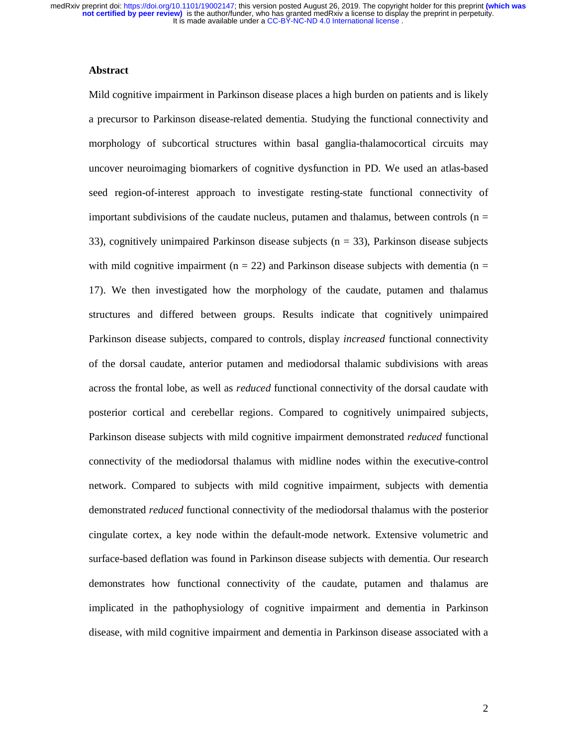# **Abstract**

Mild cognitive impairment in Parkinson disease places a high burden on patients and is likely a precursor to Parkinson disease-related dementia. Studying the functional connectivity and morphology of subcortical structures within basal ganglia-thalamocortical circuits may uncover neuroimaging biomarkers of cognitive dysfunction in PD. We used an atlas-based seed region-of-interest approach to investigate resting-state functional connectivity of important subdivisions of the caudate nucleus, putamen and thalamus, between controls ( $n =$ 33), cognitively unimpaired Parkinson disease subjects ( $n = 33$ ), Parkinson disease subjects with mild cognitive impairment ( $n = 22$ ) and Parkinson disease subjects with dementia ( $n =$ 17). We then investigated how the morphology of the caudate, putamen and thalamus structures and differed between groups. Results indicate that cognitively unimpaired Parkinson disease subjects, compared to controls, display *increased* functional connectivity of the dorsal caudate, anterior putamen and mediodorsal thalamic subdivisions with areas across the frontal lobe, as well as *reduced* functional connectivity of the dorsal caudate with posterior cortical and cerebellar regions. Compared to cognitively unimpaired subjects, Parkinson disease subjects with mild cognitive impairment demonstrated *reduced* functional connectivity of the mediodorsal thalamus with midline nodes within the executive-control network. Compared to subjects with mild cognitive impairment, subjects with dementia demonstrated *reduced* functional connectivity of the mediodorsal thalamus with the posterior cingulate cortex, a key node within the default-mode network. Extensive volumetric and surface-based deflation was found in Parkinson disease subjects with dementia. Our research demonstrates how functional connectivity of the caudate, putamen and thalamus are implicated in the pathophysiology of cognitive impairment and dementia in Parkinson disease, with mild cognitive impairment and dementia in Parkinson disease associated with a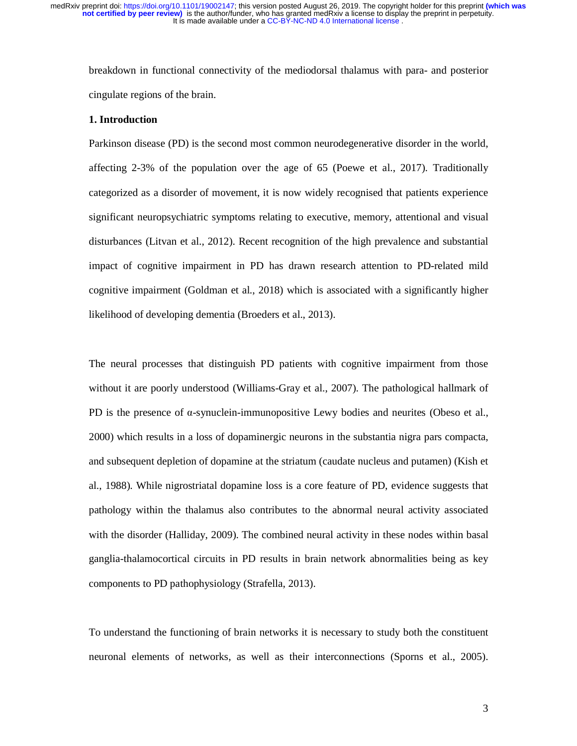breakdown in functional connectivity of the mediodorsal thalamus with para- and posterior cingulate regions of the brain.

#### **1. Introduction**

Parkinson disease (PD) is the second most common neurodegenerative disorder in the world, affecting 2-3% of the population over the age of 65 (Poewe et al., 2017). Traditionally categorized as a disorder of movement, it is now widely recognised that patients experience significant neuropsychiatric symptoms relating to executive, memory, attentional and visual disturbances (Litvan et al., 2012). Recent recognition of the high prevalence and substantial impact of cognitive impairment in PD has drawn research attention to PD-related mild cognitive impairment (Goldman et al., 2018) which is associated with a significantly higher likelihood of developing dementia (Broeders et al., 2013).

The neural processes that distinguish PD patients with cognitive impairment from those without it are poorly understood (Williams-Gray et al., 2007). The pathological hallmark of PD is the presence of  $\alpha$ -synuclein-immunopositive Lewy bodies and neurites (Obeso et al., 2000) which results in a loss of dopaminergic neurons in the substantia nigra pars compacta, and subsequent depletion of dopamine at the striatum (caudate nucleus and putamen) (Kish et al., 1988). While nigrostriatal dopamine loss is a core feature of PD, evidence suggests that pathology within the thalamus also contributes to the abnormal neural activity associated with the disorder (Halliday, 2009). The combined neural activity in these nodes within basal ganglia-thalamocortical circuits in PD results in brain network abnormalities being as key components to PD pathophysiology (Strafella, 2013).

To understand the functioning of brain networks it is necessary to study both the constituent neuronal elements of networks, as well as their interconnections (Sporns et al., 2005).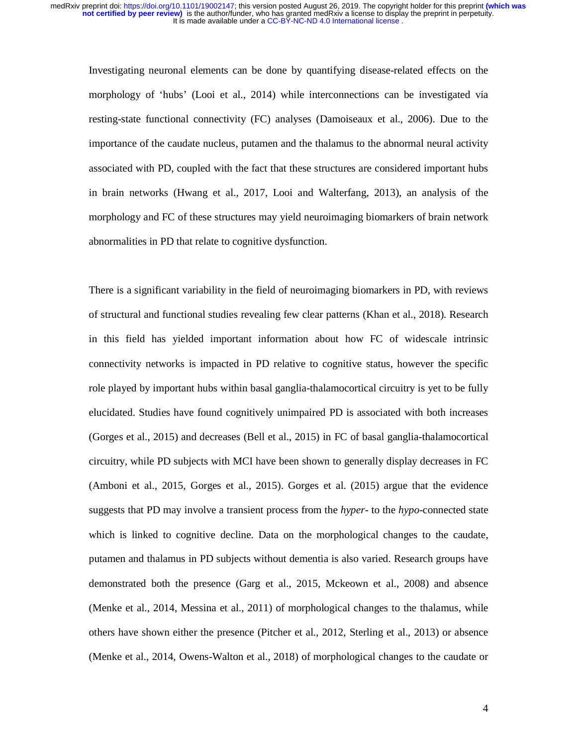Investigating neuronal elements can be done by quantifying disease-related effects on the morphology of 'hubs' (Looi et al., 2014) while interconnections can be investigated via resting-state functional connectivity (FC) analyses (Damoiseaux et al., 2006). Due to the importance of the caudate nucleus, putamen and the thalamus to the abnormal neural activity associated with PD, coupled with the fact that these structures are considered important hubs in brain networks (Hwang et al., 2017, Looi and Walterfang, 2013), an analysis of the morphology and FC of these structures may yield neuroimaging biomarkers of brain network abnormalities in PD that relate to cognitive dysfunction.

There is a significant variability in the field of neuroimaging biomarkers in PD, with reviews of structural and functional studies revealing few clear patterns (Khan et al., 2018). Research in this field has yielded important information about how FC of widescale intrinsic connectivity networks is impacted in PD relative to cognitive status, however the specific role played by important hubs within basal ganglia-thalamocortical circuitry is yet to be fully elucidated. Studies have found cognitively unimpaired PD is associated with both increases (Gorges et al., 2015) and decreases (Bell et al., 2015) in FC of basal ganglia-thalamocortical circuitry, while PD subjects with MCI have been shown to generally display decreases in FC (Amboni et al., 2015, Gorges et al., 2015). Gorges et al. (2015) argue that the evidence suggests that PD may involve a transient process from the *hyper*- to the *hypo*-connected state which is linked to cognitive decline. Data on the morphological changes to the caudate, putamen and thalamus in PD subjects without dementia is also varied. Research groups have demonstrated both the presence (Garg et al., 2015, Mckeown et al., 2008) and absence (Menke et al., 2014, Messina et al., 2011) of morphological changes to the thalamus, while others have shown either the presence (Pitcher et al., 2012, Sterling et al., 2013) or absence (Menke et al., 2014, Owens-Walton et al., 2018) of morphological changes to the caudate or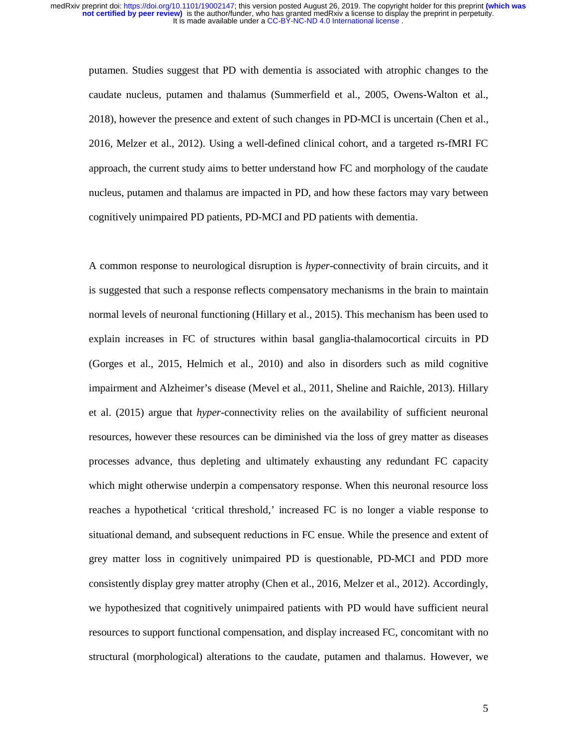putamen. Studies suggest that PD with dementia is associated with atrophic changes to the caudate nucleus, putamen and thalamus (Summerfield et al., 2005, Owens-Walton et al., 2018), however the presence and extent of such changes in PD-MCI is uncertain (Chen et al., 2016, Melzer et al., 2012). Using a well-defined clinical cohort, and a targeted rs-fMRI FC approach, the current study aims to better understand how FC and morphology of the caudate nucleus, putamen and thalamus are impacted in PD, and how these factors may vary between cognitively unimpaired PD patients, PD-MCI and PD patients with dementia.

A common response to neurological disruption is *hyper*-connectivity of brain circuits, and it is suggested that such a response reflects compensatory mechanisms in the brain to maintain normal levels of neuronal functioning (Hillary et al., 2015). This mechanism has been used to explain increases in FC of structures within basal ganglia-thalamocortical circuits in PD (Gorges et al., 2015, Helmich et al., 2010) and also in disorders such as mild cognitive impairment and Alzheimer's disease (Mevel et al., 2011, Sheline and Raichle, 2013). Hillary et al. (2015) argue that *hyper*-connectivity relies on the availability of sufficient neuronal resources, however these resources can be diminished via the loss of grey matter as diseases processes advance, thus depleting and ultimately exhausting any redundant FC capacity which might otherwise underpin a compensatory response. When this neuronal resource loss reaches a hypothetical 'critical threshold,' increased FC is no longer a viable response to situational demand, and subsequent reductions in FC ensue. While the presence and extent of grey matter loss in cognitively unimpaired PD is questionable, PD-MCI and PDD more consistently display grey matter atrophy (Chen et al., 2016, Melzer et al., 2012). Accordingly, we hypothesized that cognitively unimpaired patients with PD would have sufficient neural resources to support functional compensation, and display increased FC, concomitant with no structural (morphological) alterations to the caudate, putamen and thalamus. However, we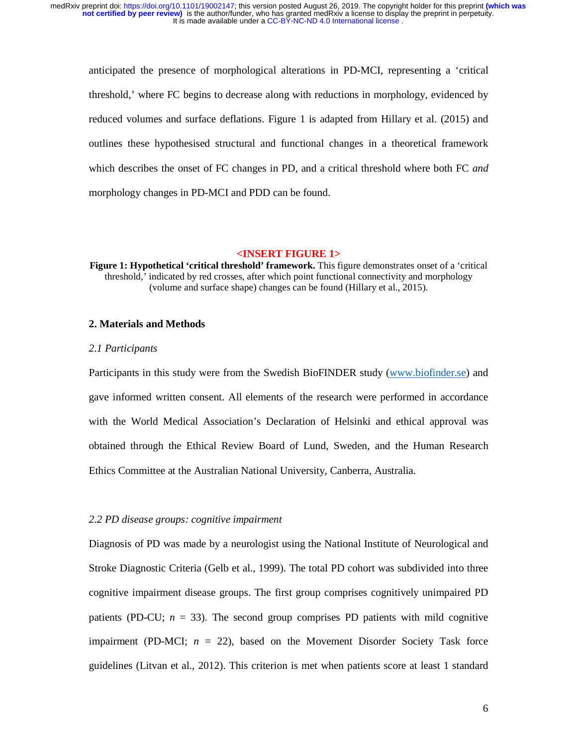anticipated the presence of morphological alterations in PD-MCI, representing a 'critical threshold,' where FC begins to decrease along with reductions in morphology, evidenced by reduced volumes and surface deflations. Figure 1 is adapted from Hillary et al. (2015) and outlines these hypothesised structural and functional changes in a theoretical framework which describes the onset of FC changes in PD, and a critical threshold where both FC *and*  morphology changes in PD-MCI and PDD can be found.

# **<INSERT FIGURE 1>**

**Figure 1: Hypothetical 'critical threshold' framework.** This figure demonstrates onset of a 'critical threshold,' indicated by red crosses, after which point functional connectivity and morphology (volume and surface shape) changes can be found (Hillary et al., 2015).

# **2. Materials and Methods**

#### *2.1 Participants*

Participants in this study were from the Swedish BioFINDER study (www.biofinder.se) and gave informed written consent. All elements of the research were performed in accordance with the World Medical Association's Declaration of Helsinki and ethical approval was obtained through the Ethical Review Board of Lund, Sweden, and the Human Research Ethics Committee at the Australian National University, Canberra, Australia.

#### *2.2 PD disease groups: cognitive impairment*

Diagnosis of PD was made by a neurologist using the National Institute of Neurological and Stroke Diagnostic Criteria (Gelb et al., 1999). The total PD cohort was subdivided into three cognitive impairment disease groups. The first group comprises cognitively unimpaired PD patients (PD-CU;  $n = 33$ ). The second group comprises PD patients with mild cognitive impairment (PD-MCI;  $n = 22$ ), based on the Movement Disorder Society Task force guidelines (Litvan et al., 2012). This criterion is met when patients score at least 1 standard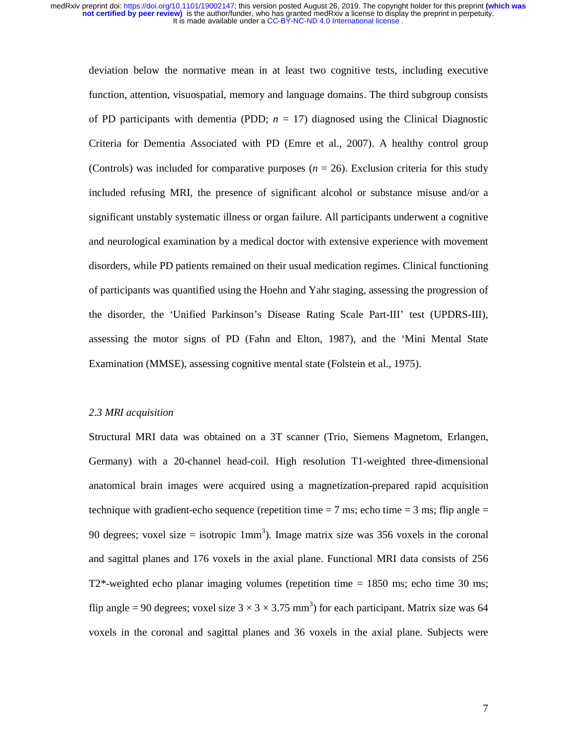deviation below the normative mean in at least two cognitive tests, including executive function, attention, visuospatial, memory and language domains. The third subgroup consists of PD participants with dementia (PDD;  $n = 17$ ) diagnosed using the Clinical Diagnostic Criteria for Dementia Associated with PD (Emre et al., 2007). A healthy control group (Controls) was included for comparative purposes  $(n = 26)$ . Exclusion criteria for this study included refusing MRI, the presence of significant alcohol or substance misuse and/or a significant unstably systematic illness or organ failure. All participants underwent a cognitive and neurological examination by a medical doctor with extensive experience with movement disorders, while PD patients remained on their usual medication regimes. Clinical functioning of participants was quantified using the Hoehn and Yahr staging, assessing the progression of the disorder, the 'Unified Parkinson's Disease Rating Scale Part-III' test (UPDRS-III), assessing the motor signs of PD (Fahn and Elton, 1987), and the 'Mini Mental State Examination (MMSE), assessing cognitive mental state (Folstein et al., 1975).

# *2.3 MRI acquisition*

Structural MRI data was obtained on a 3T scanner (Trio, Siemens Magnetom, Erlangen, Germany) with a 20-channel head-coil. High resolution T1-weighted three-dimensional anatomical brain images were acquired using a magnetization-prepared rapid acquisition technique with gradient-echo sequence (repetition time  $= 7$  ms; echo time  $= 3$  ms; flip angle  $=$ 90 degrees; voxel size = isotropic  $1mm<sup>3</sup>$ ). Image matrix size was 356 voxels in the coronal and sagittal planes and 176 voxels in the axial plane. Functional MRI data consists of 256 T2\*-weighted echo planar imaging volumes (repetition time = 1850 ms; echo time 30 ms; flip angle = 90 degrees; voxel size  $3 \times 3 \times 3.75$  mm<sup>3</sup>) for each participant. Matrix size was 64 voxels in the coronal and sagittal planes and 36 voxels in the axial plane. Subjects were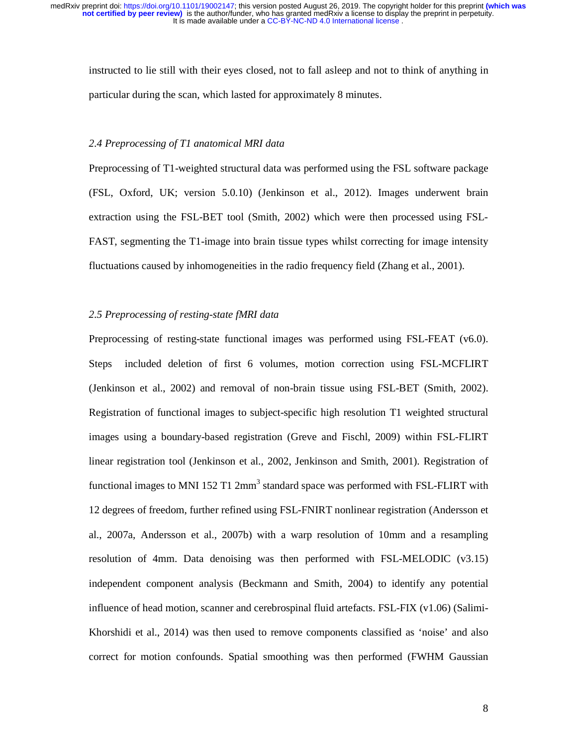instructed to lie still with their eyes closed, not to fall asleep and not to think of anything in particular during the scan, which lasted for approximately 8 minutes.

# *2.4 Preprocessing of T1 anatomical MRI data*

Preprocessing of T1-weighted structural data was performed using the FSL software package (FSL, Oxford, UK; version 5.0.10) (Jenkinson et al., 2012). Images underwent brain extraction using the FSL-BET tool (Smith, 2002) which were then processed using FSL-FAST, segmenting the T1-image into brain tissue types whilst correcting for image intensity fluctuations caused by inhomogeneities in the radio frequency field (Zhang et al., 2001).

# *2.5 Preprocessing of resting-state fMRI data*

Preprocessing of resting-state functional images was performed using FSL-FEAT (v6.0). Steps included deletion of first 6 volumes, motion correction using FSL-MCFLIRT (Jenkinson et al., 2002) and removal of non-brain tissue using FSL-BET (Smith, 2002). Registration of functional images to subject-specific high resolution T1 weighted structural images using a boundary-based registration (Greve and Fischl, 2009) within FSL-FLIRT linear registration tool (Jenkinson et al., 2002, Jenkinson and Smith, 2001). Registration of functional images to MNI 152 T1 2mm<sup>3</sup> standard space was performed with FSL-FLIRT with 12 degrees of freedom, further refined using FSL-FNIRT nonlinear registration (Andersson et al., 2007a, Andersson et al., 2007b) with a warp resolution of 10mm and a resampling resolution of 4mm. Data denoising was then performed with FSL-MELODIC (v3.15) independent component analysis (Beckmann and Smith, 2004) to identify any potential influence of head motion, scanner and cerebrospinal fluid artefacts. FSL-FIX (v1.06) (Salimi-Khorshidi et al., 2014) was then used to remove components classified as 'noise' and also correct for motion confounds. Spatial smoothing was then performed (FWHM Gaussian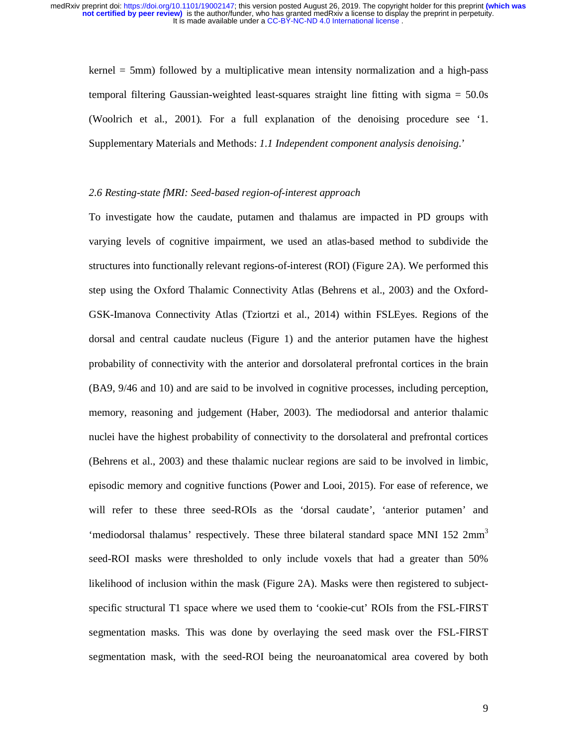kernel = 5mm) followed by a multiplicative mean intensity normalization and a high-pass temporal filtering Gaussian-weighted least-squares straight line fitting with sigma = 50.0s (Woolrich et al., 2001). For a full explanation of the denoising procedure see '1. Supplementary Materials and Methods: *1.1 Independent component analysis denoising*.'

#### *2.6 Resting-state fMRI: Seed-based region-of-interest approach*

To investigate how the caudate, putamen and thalamus are impacted in PD groups with varying levels of cognitive impairment, we used an atlas-based method to subdivide the structures into functionally relevant regions-of-interest (ROI) (Figure 2A). We performed this step using the Oxford Thalamic Connectivity Atlas (Behrens et al., 2003) and the Oxford-GSK-Imanova Connectivity Atlas (Tziortzi et al., 2014) within FSLEyes. Regions of the dorsal and central caudate nucleus (Figure 1) and the anterior putamen have the highest probability of connectivity with the anterior and dorsolateral prefrontal cortices in the brain (BA9, 9/46 and 10) and are said to be involved in cognitive processes, including perception, memory, reasoning and judgement (Haber, 2003). The mediodorsal and anterior thalamic nuclei have the highest probability of connectivity to the dorsolateral and prefrontal cortices (Behrens et al., 2003) and these thalamic nuclear regions are said to be involved in limbic, episodic memory and cognitive functions (Power and Looi, 2015). For ease of reference, we will refer to these three seed-ROIs as the 'dorsal caudate', 'anterior putamen' and 'mediodorsal thalamus' respectively. These three bilateral standard space MNI 152  $2mm<sup>3</sup>$ seed-ROI masks were thresholded to only include voxels that had a greater than 50% likelihood of inclusion within the mask (Figure 2A). Masks were then registered to subjectspecific structural T1 space where we used them to 'cookie-cut' ROIs from the FSL-FIRST segmentation masks*.* This was done by overlaying the seed mask over the FSL-FIRST segmentation mask, with the seed-ROI being the neuroanatomical area covered by both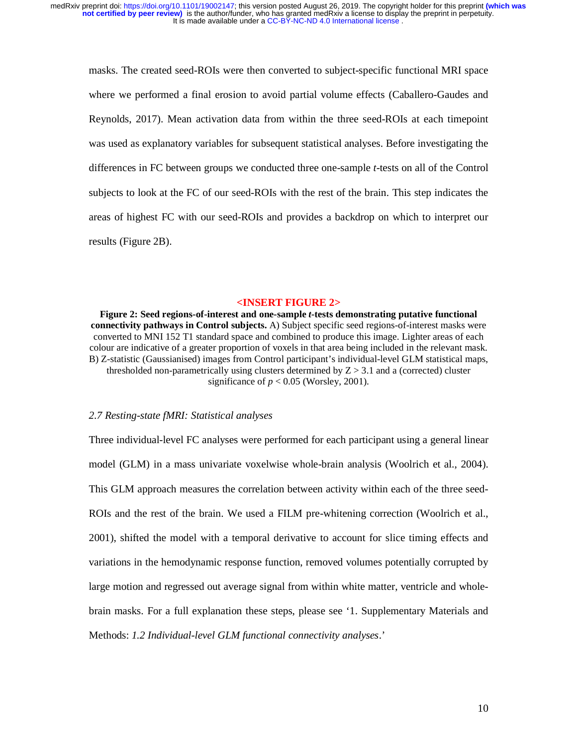masks. The created seed-ROIs were then converted to subject-specific functional MRI space where we performed a final erosion to avoid partial volume effects (Caballero-Gaudes and Reynolds, 2017). Mean activation data from within the three seed-ROIs at each timepoint was used as explanatory variables for subsequent statistical analyses. Before investigating the differences in FC between groups we conducted three one-sample *t*-tests on all of the Control subjects to look at the FC of our seed-ROIs with the rest of the brain. This step indicates the areas of highest FC with our seed-ROIs and provides a backdrop on which to interpret our results (Figure 2B).

#### **<INSERT FIGURE 2>**

**Figure 2: Seed regions-of-interest and one-sample** *t***-tests demonstrating putative functional connectivity pathways in Control subjects.** A) Subject specific seed regions-of-interest masks were converted to MNI 152 T1 standard space and combined to produce this image. Lighter areas of each colour are indicative of a greater proportion of voxels in that area being included in the relevant mask. B) Z-statistic (Gaussianised) images from Control participant's individual-level GLM statistical maps, thresholded non-parametrically using clusters determined by  $Z > 3.1$  and a (corrected) cluster significance of  $p < 0.05$  (Worsley, 2001).

# *2.7 Resting-state fMRI: Statistical analyses*

Three individual-level FC analyses were performed for each participant using a general linear model (GLM) in a mass univariate voxelwise whole-brain analysis (Woolrich et al., 2004). This GLM approach measures the correlation between activity within each of the three seed-ROIs and the rest of the brain. We used a FILM pre-whitening correction (Woolrich et al., 2001), shifted the model with a temporal derivative to account for slice timing effects and variations in the hemodynamic response function, removed volumes potentially corrupted by large motion and regressed out average signal from within white matter, ventricle and wholebrain masks. For a full explanation these steps, please see '1. Supplementary Materials and Methods: *1.2 Individual-level GLM functional connectivity analyses*.'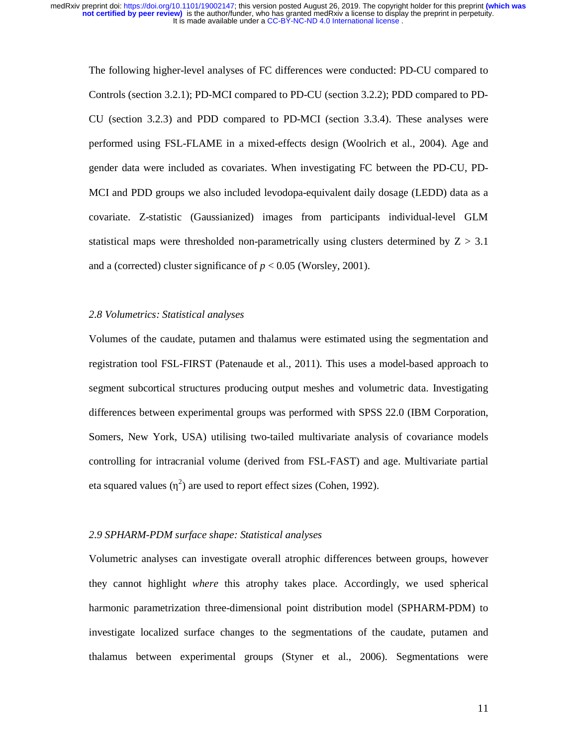The following higher-level analyses of FC differences were conducted: PD-CU compared to Controls (section 3.2.1); PD-MCI compared to PD-CU (section 3.2.2); PDD compared to PD-CU (section 3.2.3) and PDD compared to PD-MCI (section 3.3.4). These analyses were performed using FSL-FLAME in a mixed-effects design (Woolrich et al., 2004). Age and gender data were included as covariates. When investigating FC between the PD-CU, PD-MCI and PDD groups we also included levodopa-equivalent daily dosage (LEDD) data as a covariate. Z-statistic (Gaussianized) images from participants individual-level GLM statistical maps were thresholded non-parametrically using clusters determined by  $Z > 3.1$ and a (corrected) cluster significance of  $p < 0.05$  (Worsley, 2001).

# *2.8 Volumetrics: Statistical analyses*

Volumes of the caudate, putamen and thalamus were estimated using the segmentation and registration tool FSL-FIRST (Patenaude et al., 2011). This uses a model-based approach to segment subcortical structures producing output meshes and volumetric data. Investigating differences between experimental groups was performed with SPSS 22.0 (IBM Corporation, Somers, New York, USA) utilising two-tailed multivariate analysis of covariance models controlling for intracranial volume (derived from FSL-FAST) and age. Multivariate partial eta squared values  $(\eta^2)$  are used to report effect sizes (Cohen, 1992).

#### *2.9 SPHARM-PDM surface shape: Statistical analyses*

Volumetric analyses can investigate overall atrophic differences between groups, however they cannot highlight *where* this atrophy takes place. Accordingly, we used spherical harmonic parametrization three-dimensional point distribution model (SPHARM-PDM) to investigate localized surface changes to the segmentations of the caudate, putamen and thalamus between experimental groups (Styner et al., 2006). Segmentations were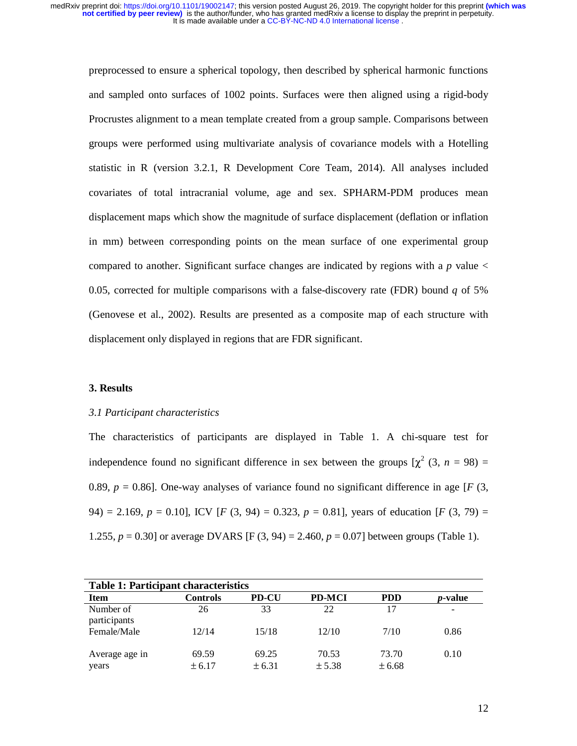preprocessed to ensure a spherical topology, then described by spherical harmonic functions and sampled onto surfaces of 1002 points. Surfaces were then aligned using a rigid-body Procrustes alignment to a mean template created from a group sample. Comparisons between groups were performed using multivariate analysis of covariance models with a Hotelling statistic in R (version 3.2.1, R Development Core Team, 2014). All analyses included covariates of total intracranial volume, age and sex. SPHARM-PDM produces mean displacement maps which show the magnitude of surface displacement (deflation or inflation in mm) between corresponding points on the mean surface of one experimental group compared to another. Significant surface changes are indicated by regions with a  $p$  value  $\lt$ 0.05, corrected for multiple comparisons with a false-discovery rate (FDR) bound *q* of 5% (Genovese et al., 2002). Results are presented as a composite map of each structure with displacement only displayed in regions that are FDR significant.

# **3. Results**

#### *3.1 Participant characteristics*

The characteristics of participants are displayed in Table 1. A chi-square test for independence found no significant difference in sex between the groups  $[\chi^2(3, n = 98) =$ 0.89,  $p = 0.86$ ]. One-way analyses of variance found no significant difference in age [ $F(3, 3)$ ] 94) = 2.169,  $p = 0.10$ , ICV [*F* (3, 94) = 0.323,  $p = 0.81$ ], years of education [*F* (3, 79) = 1.255, *p* = 0.30] or average DVARS [F (3, 94) = 2.460, *p* = 0.07] between groups (Table 1).

| <b>Table 1: Participant characteristics</b> |          |              |               |            |                 |  |  |
|---------------------------------------------|----------|--------------|---------------|------------|-----------------|--|--|
| <b>Item</b>                                 | Controls | <b>PD-CU</b> | <b>PD-MCI</b> | <b>PDD</b> | <i>p</i> -value |  |  |
| Number of<br>participants                   | 26       | 33           | 22            | 17         |                 |  |  |
| Female/Male                                 | 12/14    | 15/18        | 12/10         | 7/10       | 0.86            |  |  |
| Average age in                              | 69.59    | 69.25        | 70.53         | 73.70      | 0.10            |  |  |
| years                                       | ± 6.17   | ± 6.31       | ± 5.38        | ± 6.68     |                 |  |  |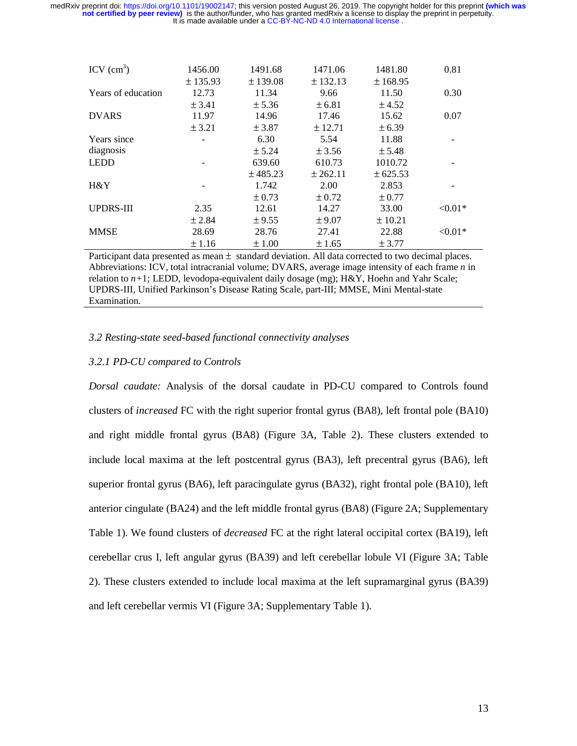| ICV $(cm^3)$       | 1456.00<br>± 135.93 | 1491.68<br>± 139.08 | 1471.06<br>± 132.13 | 1481.80<br>± 168.95 | 0.81       |
|--------------------|---------------------|---------------------|---------------------|---------------------|------------|
| Years of education | 12.73               | 11.34               | 9.66                | 11.50               | 0.30       |
|                    | ± 3.41              | ± 5.36              | $\pm 6.81$          | ± 4.52              |            |
| <b>DVARS</b>       | 11.97               | 14.96               | 17.46               | 15.62               | 0.07       |
|                    | ± 3.21              | ± 3.87              | ± 12.71             | ± 6.39              |            |
| Years since        |                     | 6.30                | 5.54                | 11.88               |            |
| diagnosis          |                     | ± 5.24              | ± 3.56              | ± 5.48              |            |
| <b>LEDD</b>        |                     | 639.60              | 610.73              | 1010.72             |            |
|                    |                     | ± 485.23            | ± 262.11            | ± 625.53            |            |
| $H\&Y$             |                     | 1.742               | 2.00                | 2.853               |            |
|                    |                     | ± 0.73              | $\pm 0.72$          | ± 0.77              |            |
| <b>UPDRS-III</b>   | 2.35                | 12.61               | 14.27               | 33.00               | $< 0.01*$  |
|                    | ± 2.84              | ± 9.55              | $\pm$ 9.07          | ± 10.21             |            |
| <b>MMSE</b>        | 28.69               | 28.76               | 27.41               | 22.88               | ${<}0.01*$ |
|                    | ±1.16               | $\pm 1.00$          | $\pm 1.65$          | ± 3.77              |            |

Participant data presented as mean  $\pm$  standard deviation. All data corrected to two decimal places. Abbreviations: ICV, total intracranial volume; DVARS, average image intensity of each frame *n* in relation to *n+*1; LEDD, levodopa-equivalent daily dosage (mg); H&Y, Hoehn and Yahr Scale; UPDRS-III, Unified Parkinson's Disease Rating Scale, part-III; MMSE, Mini Mental-state Examination.

# *3.2 Resting-state seed-based functional connectivity analyses*

# *3.2.1 PD-CU compared to Controls*

*Dorsal caudate:* Analysis of the dorsal caudate in PD-CU compared to Controls found clusters of *increased* FC with the right superior frontal gyrus (BA8), left frontal pole (BA10) and right middle frontal gyrus (BA8) (Figure 3A, Table 2). These clusters extended to include local maxima at the left postcentral gyrus (BA3), left precentral gyrus (BA6), left superior frontal gyrus (BA6), left paracingulate gyrus (BA32), right frontal pole (BA10), left anterior cingulate (BA24) and the left middle frontal gyrus (BA8) (Figure 2A; Supplementary Table 1). We found clusters of *decreased* FC at the right lateral occipital cortex (BA19), left cerebellar crus I, left angular gyrus (BA39) and left cerebellar lobule VI (Figure 3A; Table 2). These clusters extended to include local maxima at the left supramarginal gyrus (BA39) and left cerebellar vermis VI (Figure 3A; Supplementary Table 1).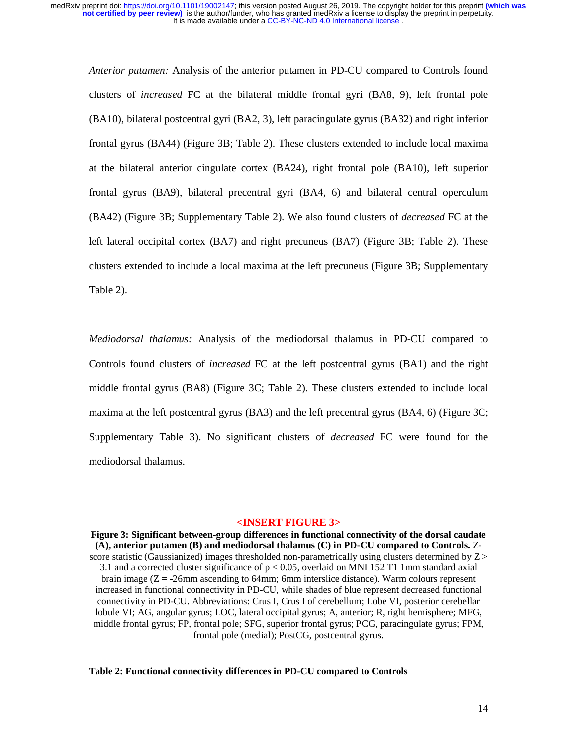*Anterior putamen:* Analysis of the anterior putamen in PD-CU compared to Controls found clusters of *increased* FC at the bilateral middle frontal gyri (BA8, 9), left frontal pole (BA10), bilateral postcentral gyri (BA2, 3), left paracingulate gyrus (BA32) and right inferior frontal gyrus (BA44) (Figure 3B; Table 2). These clusters extended to include local maxima at the bilateral anterior cingulate cortex (BA24), right frontal pole (BA10), left superior frontal gyrus (BA9), bilateral precentral gyri (BA4, 6) and bilateral central operculum (BA42) (Figure 3B; Supplementary Table 2). We also found clusters of *decreased* FC at the left lateral occipital cortex (BA7) and right precuneus (BA7) (Figure 3B; Table 2). These clusters extended to include a local maxima at the left precuneus (Figure 3B; Supplementary Table 2).

*Mediodorsal thalamus:* Analysis of the mediodorsal thalamus in PD-CU compared to Controls found clusters of *increased* FC at the left postcentral gyrus (BA1) and the right middle frontal gyrus (BA8) (Figure 3C; Table 2). These clusters extended to include local maxima at the left postcentral gyrus (BA3) and the left precentral gyrus (BA4, 6) (Figure 3C; Supplementary Table 3). No significant clusters of *decreased* FC were found for the mediodorsal thalamus.

#### **<INSERT FIGURE 3>**

**Figure 3: Significant between-group differences in functional connectivity of the dorsal caudate (A), anterior putamen (B) and mediodorsal thalamus (C) in PD-CU compared to Controls.** Zscore statistic (Gaussianized) images thresholded non-parametrically using clusters determined by  $Z >$ 3.1 and a corrected cluster significance of  $p < 0.05$ , overlaid on MNI 152 T1 1mm standard axial brain image  $(Z = -26$ mm ascending to 64mm; 6mm interslice distance). Warm colours represent increased in functional connectivity in PD-CU, while shades of blue represent decreased functional connectivity in PD-CU. Abbreviations: Crus I, Crus I of cerebellum; Lobe VI, posterior cerebellar lobule VI; AG, angular gyrus; LOC, lateral occipital gyrus; A, anterior; R, right hemisphere; MFG, middle frontal gyrus; FP, frontal pole; SFG, superior frontal gyrus; PCG, paracingulate gyrus; FPM, frontal pole (medial); PostCG, postcentral gyrus.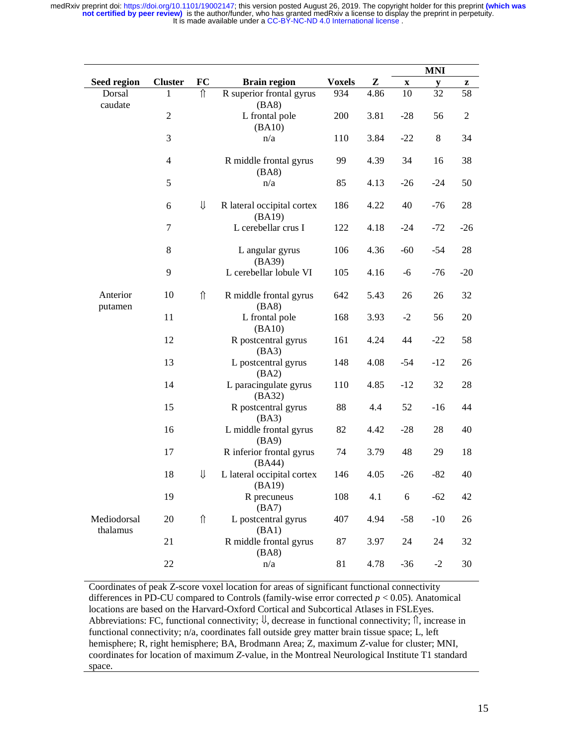|                         |                          |                    |                                      |               |      |                           | $\bf{M} \bf{N} \bf{I}$ |                  |
|-------------------------|--------------------------|--------------------|--------------------------------------|---------------|------|---------------------------|------------------------|------------------|
| Seed region             | <b>Cluster</b>           | FC                 | <b>Brain region</b>                  | <b>Voxels</b> | Z    | $\boldsymbol{\mathrm{X}}$ | y                      | z                |
| Dorsal<br>caudate       | 1                        | ⇑                  | R superior frontal gyrus<br>(BA8)    | 934           | 4.86 | 10                        | 32                     | 58               |
|                         | $\overline{c}$           |                    | L frontal pole<br>(BA10)             | 200           | 3.81 | $-28$                     | 56                     | $\boldsymbol{2}$ |
|                         | 3                        |                    | n/a                                  | 110           | 3.84 | $-22$                     | 8                      | 34               |
|                         | $\overline{\mathcal{L}}$ |                    | R middle frontal gyrus<br>(BA8)      | 99            | 4.39 | 34                        | 16                     | 38               |
|                         | 5                        |                    | n/a                                  | 85            | 4.13 | $-26$                     | $-24$                  | 50               |
|                         | 6                        | ⇓                  | R lateral occipital cortex<br>(BA19) | 186           | 4.22 | 40                        | $-76$                  | 28               |
|                         | $\boldsymbol{7}$         |                    | L cerebellar crus I                  | 122           | 4.18 | $-24$                     | $-72$                  | $-26$            |
|                         | $8\,$                    |                    | L angular gyrus<br>(BA39)            | 106           | 4.36 | $-60$                     | $-54$                  | 28               |
|                         | 9                        |                    | L cerebellar lobule VI               | 105           | 4.16 | -6                        | $-76$                  | $-20$            |
| Anterior<br>putamen     | 10                       | $\hat{\mathbb{I}}$ | R middle frontal gyrus<br>(BA8)      | 642           | 5.43 | 26                        | 26                     | 32               |
|                         | 11                       |                    | L frontal pole<br>(BA10)             | 168           | 3.93 | $-2$                      | 56                     | 20               |
|                         | 12                       |                    | R postcentral gyrus<br>(BA3)         | 161           | 4.24 | 44                        | $-22$                  | 58               |
|                         | 13                       |                    | L postcentral gyrus<br>(BA2)         | 148           | 4.08 | $-54$                     | $-12$                  | 26               |
|                         | 14                       |                    | L paracingulate gyrus<br>(BA32)      | 110           | 4.85 | $-12$                     | 32                     | 28               |
|                         | 15                       |                    | R postcentral gyrus<br>(BA3)         | 88            | 4.4  | 52                        | $-16$                  | 44               |
|                         | 16                       |                    | L middle frontal gyrus<br>(BA9)      | 82            | 4.42 | $-28$                     | 28                     | 40               |
|                         | 17                       |                    | R inferior frontal gyrus<br>(BA44)   | 74            | 3.79 | 48                        | 29                     | 18               |
|                         | 18                       | ⇓                  | L lateral occipital cortex<br>(BA19) | 146           | 4.05 | $-26$                     | $-82$                  | 40               |
|                         | 19                       |                    | R precuneus<br>(BA7)                 | 108           | 4.1  | 6                         | $-62$                  | 42               |
| Mediodorsal<br>thalamus | 20                       | $\hat{\Pi}$        | L postcentral gyrus<br>(BA1)         | 407           | 4.94 | $-58$                     | $-10$                  | 26               |
|                         | 21                       |                    | R middle frontal gyrus<br>(BA8)      | 87            | 3.97 | 24                        | 24                     | 32               |
|                         | 22                       |                    | n/a                                  | 81            | 4.78 | $-36$                     | $-2$                   | 30               |

Coordinates of peak Z-score voxel location for areas of significant functional connectivity differences in PD-CU compared to Controls (family-wise error corrected  $p < 0.05$ ). Anatomical locations are based on the Harvard-Oxford Cortical and Subcortical Atlases in FSLEyes. Abbreviations: FC, functional connectivity;  $\psi$ , decrease in functional connectivity;  $\hat{\mathbb{I}}$ , increase in functional connectivity; n/a, coordinates fall outside grey matter brain tissue space; L, left hemisphere; R, right hemisphere; BA, Brodmann Area; Z, maximum *Z*-value for cluster; MNI, coordinates for location of maximum *Z*-value, in the Montreal Neurological Institute T1 standard space.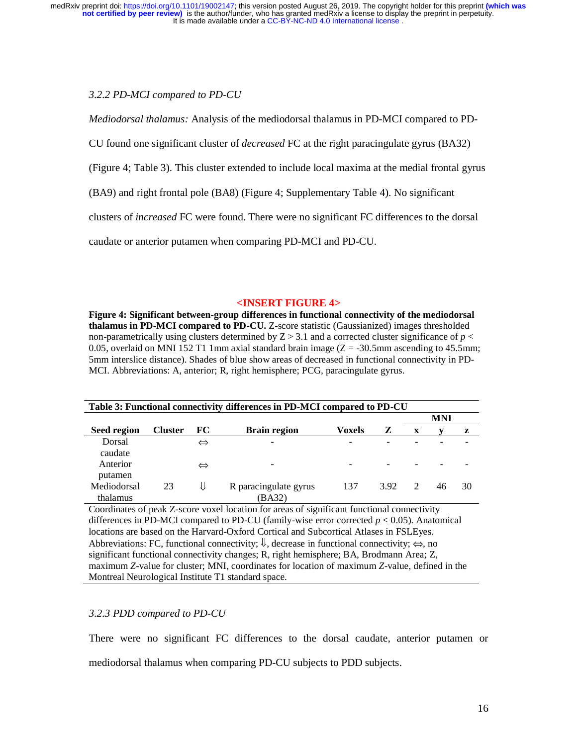# *3.2.2 PD-MCI compared to PD-CU*

*Mediodorsal thalamus:* Analysis of the mediodorsal thalamus in PD-MCI compared to PD-

CU found one significant cluster of *decreased* FC at the right paracingulate gyrus (BA32)

(Figure 4; Table 3). This cluster extended to include local maxima at the medial frontal gyrus

(BA9) and right frontal pole (BA8) (Figure 4; Supplementary Table 4). No significant

clusters of *increased* FC were found. There were no significant FC differences to the dorsal

caudate or anterior putamen when comparing PD-MCI and PD-CU.

# **<INSERT FIGURE 4>**

**Figure 4: Significant between-group differences in functional connectivity of the mediodorsal thalamus in PD-MCI compared to PD-CU.** Z-score statistic (Gaussianized) images thresholded non-parametrically using clusters determined by  $Z > 3.1$  and a corrected cluster significance of  $p <$ 0.05, overlaid on MNI 152 T1 1mm axial standard brain image  $(Z = -30.5$ mm ascending to 45.5mm; 5mm interslice distance). Shades of blue show areas of decreased in functional connectivity in PD-MCI. Abbreviations: A, anterior; R, right hemisphere; PCG, paracingulate gyrus.

| Table 3: Functional connectivity differences in PD-MCI compared to PD-CU |                |                   |                          |               |      |               |    |    |
|--------------------------------------------------------------------------|----------------|-------------------|--------------------------|---------------|------|---------------|----|----|
|                                                                          |                |                   |                          |               |      | <b>MNI</b>    |    |    |
| <b>Seed region</b>                                                       | <b>Cluster</b> | FC.               | <b>Brain region</b>      | <b>Voxels</b> | z    | X             |    | z  |
| Dorsal                                                                   |                | $\Leftrightarrow$ | $\overline{\phantom{0}}$ |               |      |               |    |    |
| caudate                                                                  |                |                   |                          |               |      |               |    |    |
| Anterior                                                                 |                | $\Leftrightarrow$ |                          |               |      |               |    |    |
| putamen                                                                  |                |                   |                          |               |      |               |    |    |
| Mediodorsal                                                              | 23             | ⇓                 | R paracingulate gyrus    | 137           | 3.92 | $\mathcal{D}$ | 46 | 30 |
| thalamus                                                                 |                |                   | (BA32)                   |               |      |               |    |    |

Coordinates of peak Z-score voxel location for areas of significant functional connectivity differences in PD-MCI compared to PD-CU (family-wise error corrected  $p < 0.05$ ). Anatomical locations are based on the Harvard-Oxford Cortical and Subcortical Atlases in FSLEyes. Abbreviations: FC, functional connectivity;  $\emptyset$ , decrease in functional connectivity;  $\Leftrightarrow$ , no significant functional connectivity changes; R, right hemisphere; BA, Brodmann Area; Z, maximum *Z*-value for cluster; MNI, coordinates for location of maximum *Z*-value, defined in the Montreal Neurological Institute T1 standard space.

# *3.2.3 PDD compared to PD-CU*

There were no significant FC differences to the dorsal caudate, anterior putamen or mediodorsal thalamus when comparing PD-CU subjects to PDD subjects.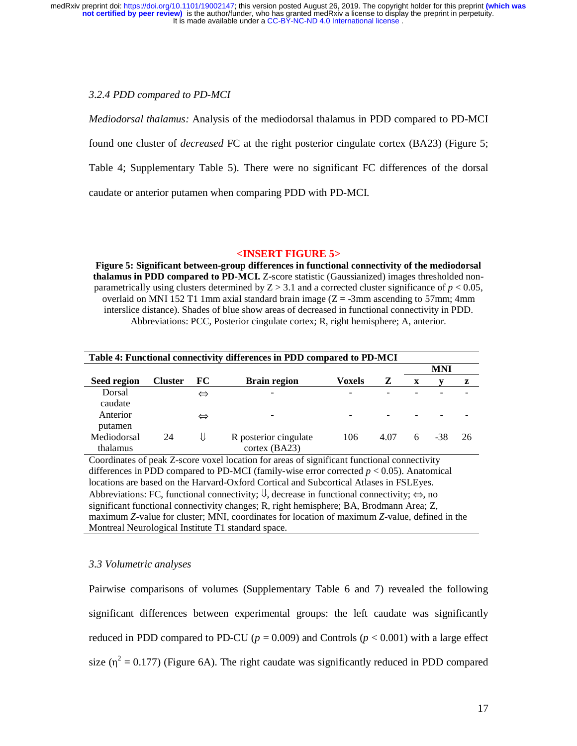#### *3.2.4 PDD compared to PD-MCI*

*Mediodorsal thalamus:* Analysis of the mediodorsal thalamus in PDD compared to PD-MCI found one cluster of *decreased* FC at the right posterior cingulate cortex (BA23) (Figure 5; Table 4; Supplementary Table 5). There were no significant FC differences of the dorsal caudate or anterior putamen when comparing PDD with PD-MCI.

# **<INSERT FIGURE 5>**

**Figure 5: Significant between-group differences in functional connectivity of the mediodorsal thalamus in PDD compared to PD-MCI.** Z-score statistic (Gaussianized) images thresholded nonparametrically using clusters determined by  $Z > 3.1$  and a corrected cluster significance of  $p < 0.05$ , overlaid on MNI 152 T1 1mm axial standard brain image  $(Z = -3$ mm ascending to 57mm; 4mm interslice distance). Shades of blue show areas of decreased in functional connectivity in PDD. Abbreviations: PCC, Posterior cingulate cortex; R, right hemisphere; A, anterior.

| Table 4: Functional connectivity differences in PDD compared to PD-MCI |                |                   |                       |               |      |     |     |     |
|------------------------------------------------------------------------|----------------|-------------------|-----------------------|---------------|------|-----|-----|-----|
|                                                                        |                |                   |                       |               |      | MNI |     |     |
| Seed region                                                            | <b>Cluster</b> | FC.               | <b>Brain region</b>   | <b>Voxels</b> | z    | X   |     | z   |
| Dorsal                                                                 |                | $\Leftrightarrow$ |                       |               |      |     |     |     |
| caudate                                                                |                |                   |                       |               |      |     |     |     |
| Anterior                                                               |                | $\Leftrightarrow$ |                       |               |      |     |     |     |
| putamen                                                                |                |                   |                       |               |      |     |     |     |
| Mediodorsal                                                            | 24             | ⇓                 | R posterior cingulate | 106           | 4.07 | 6   | -38 | -26 |
| thalamus                                                               |                |                   | cortex (BA23)         |               |      |     |     |     |

Coordinates of peak Z-score voxel location for areas of significant functional connectivity differences in PDD compared to PD-MCI (family-wise error corrected  $p < 0.05$ ). Anatomical locations are based on the Harvard-Oxford Cortical and Subcortical Atlases in FSLEyes. Abbreviations: FC, functional connectivity;  $\mathbb{U}$ , decrease in functional connectivity;  $\Leftrightarrow$ , no significant functional connectivity changes; R, right hemisphere; BA, Brodmann Area; Z, maximum *Z*-value for cluster; MNI, coordinates for location of maximum *Z*-value, defined in the Montreal Neurological Institute T1 standard space.

#### *3.3 Volumetric analyses*

Pairwise comparisons of volumes (Supplementary Table 6 and 7) revealed the following significant differences between experimental groups: the left caudate was significantly reduced in PDD compared to PD-CU ( $p = 0.009$ ) and Controls ( $p < 0.001$ ) with a large effect size ( $\eta^2 = 0.177$ ) (Figure 6A). The right caudate was significantly reduced in PDD compared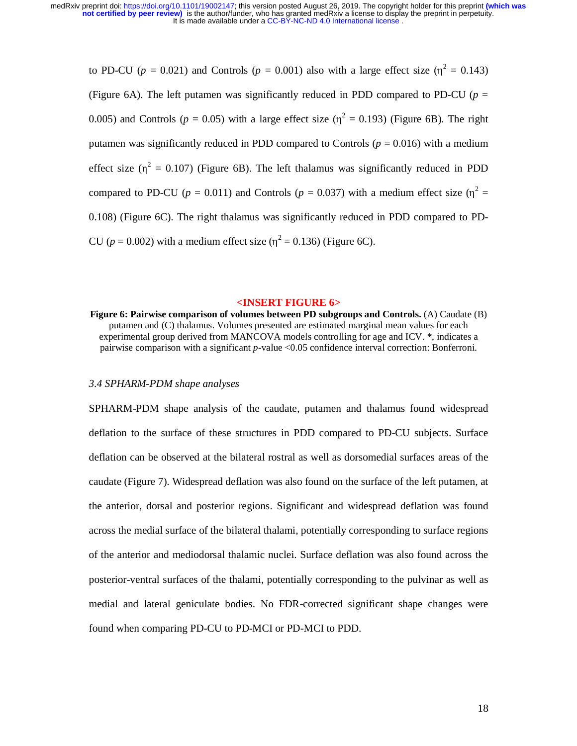to PD-CU ( $p = 0.021$ ) and Controls ( $p = 0.001$ ) also with a large effect size ( $\eta^2 = 0.143$ ) (Figure 6A). The left putamen was significantly reduced in PDD compared to PD-CU ( $p =$ 0.005) and Controls ( $p = 0.05$ ) with a large effect size ( $\eta^2 = 0.193$ ) (Figure 6B). The right putamen was significantly reduced in PDD compared to Controls ( $p = 0.016$ ) with a medium effect size ( $\eta^2 = 0.107$ ) (Figure 6B). The left thalamus was significantly reduced in PDD compared to PD-CU ( $p = 0.011$ ) and Controls ( $p = 0.037$ ) with a medium effect size ( $\eta^2 =$ 0.108) (Figure 6C). The right thalamus was significantly reduced in PDD compared to PD-CU ( $p = 0.002$ ) with a medium effect size ( $\eta^2 = 0.136$ ) (Figure 6C).

#### **<INSERT FIGURE 6>**

**Figure 6: Pairwise comparison of volumes between PD subgroups and Controls.** (A) Caudate (B) putamen and (C) thalamus. Volumes presented are estimated marginal mean values for each experimental group derived from MANCOVA models controlling for age and ICV. \*, indicates a pairwise comparison with a significant *p*-value <0.05 confidence interval correction: Bonferroni.

# *3.4 SPHARM-PDM shape analyses*

SPHARM-PDM shape analysis of the caudate, putamen and thalamus found widespread deflation to the surface of these structures in PDD compared to PD-CU subjects. Surface deflation can be observed at the bilateral rostral as well as dorsomedial surfaces areas of the caudate (Figure 7). Widespread deflation was also found on the surface of the left putamen, at the anterior, dorsal and posterior regions. Significant and widespread deflation was found across the medial surface of the bilateral thalami, potentially corresponding to surface regions of the anterior and mediodorsal thalamic nuclei. Surface deflation was also found across the posterior-ventral surfaces of the thalami, potentially corresponding to the pulvinar as well as medial and lateral geniculate bodies. No FDR-corrected significant shape changes were found when comparing PD-CU to PD-MCI or PD-MCI to PDD.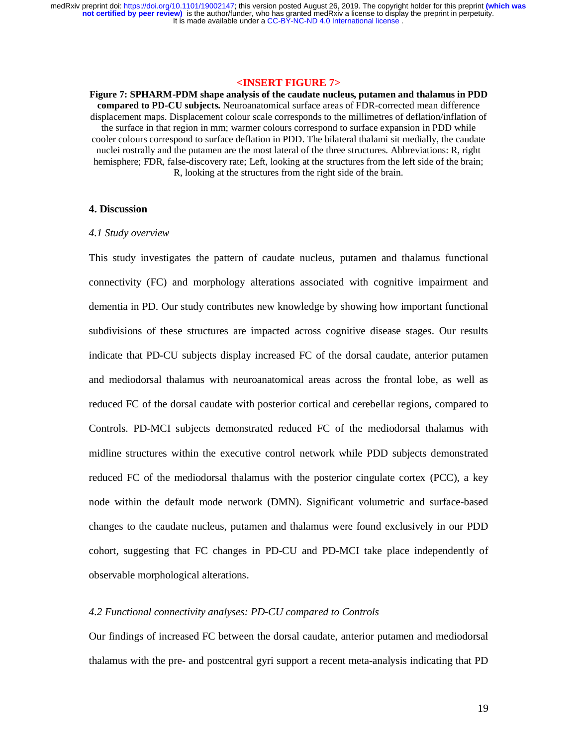# **<INSERT FIGURE 7>**

**Figure 7: SPHARM-PDM shape analysis of the caudate nucleus, putamen and thalamus in PDD compared to PD-CU subjects.** Neuroanatomical surface areas of FDR-corrected mean difference displacement maps. Displacement colour scale corresponds to the millimetres of deflation/inflation of the surface in that region in mm; warmer colours correspond to surface expansion in PDD while cooler colours correspond to surface deflation in PDD. The bilateral thalami sit medially, the caudate nuclei rostrally and the putamen are the most lateral of the three structures. Abbreviations: R, right hemisphere; FDR, false-discovery rate; Left, looking at the structures from the left side of the brain; R, looking at the structures from the right side of the brain.

#### **4. Discussion**

#### *4.1 Study overview*

This study investigates the pattern of caudate nucleus, putamen and thalamus functional connectivity (FC) and morphology alterations associated with cognitive impairment and dementia in PD. Our study contributes new knowledge by showing how important functional subdivisions of these structures are impacted across cognitive disease stages. Our results indicate that PD-CU subjects display increased FC of the dorsal caudate, anterior putamen and mediodorsal thalamus with neuroanatomical areas across the frontal lobe, as well as reduced FC of the dorsal caudate with posterior cortical and cerebellar regions, compared to Controls. PD-MCI subjects demonstrated reduced FC of the mediodorsal thalamus with midline structures within the executive control network while PDD subjects demonstrated reduced FC of the mediodorsal thalamus with the posterior cingulate cortex (PCC), a key node within the default mode network (DMN). Significant volumetric and surface-based changes to the caudate nucleus, putamen and thalamus were found exclusively in our PDD cohort, suggesting that FC changes in PD-CU and PD-MCI take place independently of observable morphological alterations.

# *4.2 Functional connectivity analyses: PD-CU compared to Controls*

Our findings of increased FC between the dorsal caudate, anterior putamen and mediodorsal thalamus with the pre- and postcentral gyri support a recent meta-analysis indicating that PD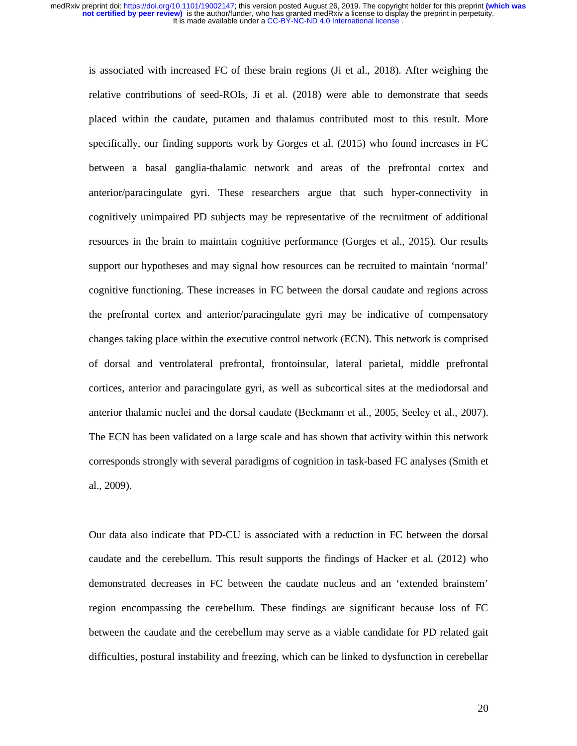is associated with increased FC of these brain regions (Ji et al., 2018). After weighing the relative contributions of seed-ROIs, Ji et al. (2018) were able to demonstrate that seeds placed within the caudate, putamen and thalamus contributed most to this result. More specifically, our finding supports work by Gorges et al. (2015) who found increases in FC between a basal ganglia-thalamic network and areas of the prefrontal cortex and anterior/paracingulate gyri. These researchers argue that such hyper-connectivity in cognitively unimpaired PD subjects may be representative of the recruitment of additional resources in the brain to maintain cognitive performance (Gorges et al., 2015). Our results support our hypotheses and may signal how resources can be recruited to maintain 'normal' cognitive functioning. These increases in FC between the dorsal caudate and regions across the prefrontal cortex and anterior/paracingulate gyri may be indicative of compensatory changes taking place within the executive control network (ECN). This network is comprised of dorsal and ventrolateral prefrontal, frontoinsular, lateral parietal, middle prefrontal cortices, anterior and paracingulate gyri, as well as subcortical sites at the mediodorsal and anterior thalamic nuclei and the dorsal caudate (Beckmann et al., 2005, Seeley et al., 2007). The ECN has been validated on a large scale and has shown that activity within this network corresponds strongly with several paradigms of cognition in task-based FC analyses (Smith et al., 2009).

Our data also indicate that PD-CU is associated with a reduction in FC between the dorsal caudate and the cerebellum. This result supports the findings of Hacker et al. (2012) who demonstrated decreases in FC between the caudate nucleus and an 'extended brainstem' region encompassing the cerebellum. These findings are significant because loss of FC between the caudate and the cerebellum may serve as a viable candidate for PD related gait difficulties, postural instability and freezing, which can be linked to dysfunction in cerebellar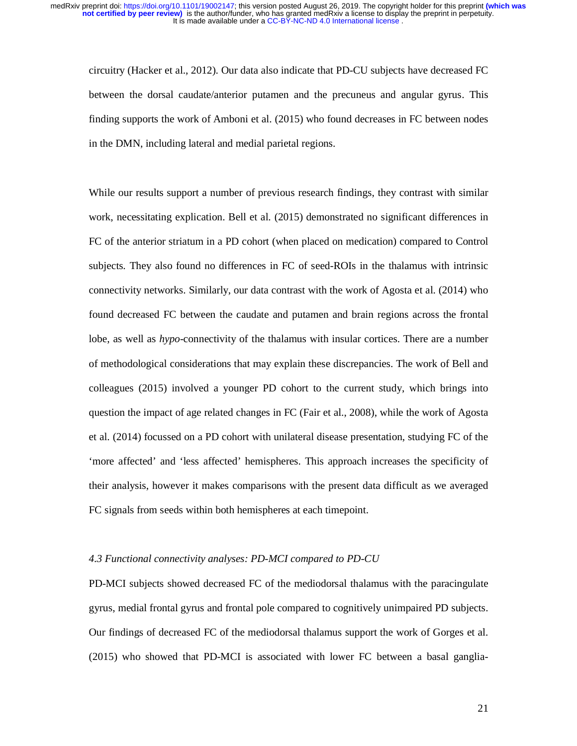circuitry (Hacker et al., 2012). Our data also indicate that PD-CU subjects have decreased FC between the dorsal caudate/anterior putamen and the precuneus and angular gyrus. This finding supports the work of Amboni et al. (2015) who found decreases in FC between nodes in the DMN, including lateral and medial parietal regions.

While our results support a number of previous research findings, they contrast with similar work, necessitating explication. Bell et al. (2015) demonstrated no significant differences in FC of the anterior striatum in a PD cohort (when placed on medication) compared to Control subjects. They also found no differences in FC of seed-ROIs in the thalamus with intrinsic connectivity networks. Similarly, our data contrast with the work of Agosta et al. (2014) who found decreased FC between the caudate and putamen and brain regions across the frontal lobe, as well as *hypo*-connectivity of the thalamus with insular cortices. There are a number of methodological considerations that may explain these discrepancies. The work of Bell and colleagues (2015) involved a younger PD cohort to the current study, which brings into question the impact of age related changes in FC (Fair et al., 2008), while the work of Agosta et al. (2014) focussed on a PD cohort with unilateral disease presentation, studying FC of the 'more affected' and 'less affected' hemispheres. This approach increases the specificity of their analysis, however it makes comparisons with the present data difficult as we averaged FC signals from seeds within both hemispheres at each timepoint.

# *4.3 Functional connectivity analyses: PD-MCI compared to PD-CU*

PD-MCI subjects showed decreased FC of the mediodorsal thalamus with the paracingulate gyrus, medial frontal gyrus and frontal pole compared to cognitively unimpaired PD subjects. Our findings of decreased FC of the mediodorsal thalamus support the work of Gorges et al. (2015) who showed that PD-MCI is associated with lower FC between a basal ganglia-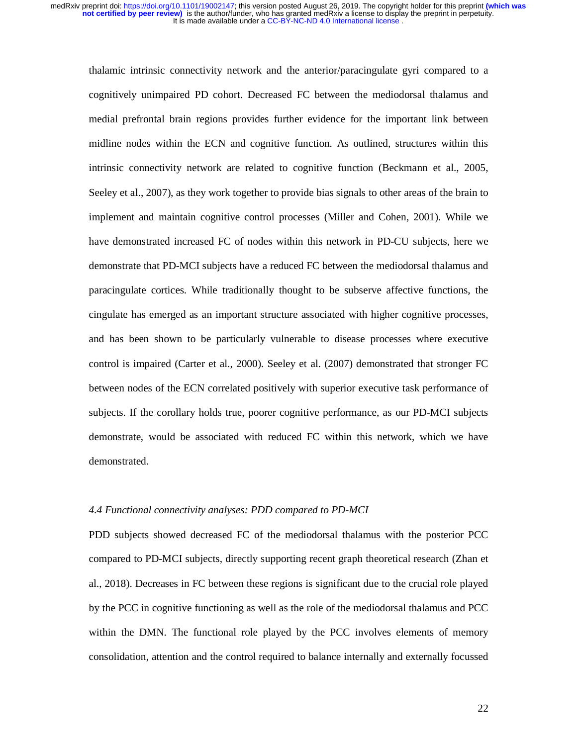thalamic intrinsic connectivity network and the anterior/paracingulate gyri compared to a cognitively unimpaired PD cohort. Decreased FC between the mediodorsal thalamus and medial prefrontal brain regions provides further evidence for the important link between midline nodes within the ECN and cognitive function. As outlined, structures within this intrinsic connectivity network are related to cognitive function (Beckmann et al., 2005, Seeley et al., 2007), as they work together to provide bias signals to other areas of the brain to implement and maintain cognitive control processes (Miller and Cohen, 2001). While we have demonstrated increased FC of nodes within this network in PD-CU subjects, here we demonstrate that PD-MCI subjects have a reduced FC between the mediodorsal thalamus and paracingulate cortices. While traditionally thought to be subserve affective functions, the cingulate has emerged as an important structure associated with higher cognitive processes, and has been shown to be particularly vulnerable to disease processes where executive control is impaired (Carter et al., 2000). Seeley et al. (2007) demonstrated that stronger FC between nodes of the ECN correlated positively with superior executive task performance of subjects. If the corollary holds true, poorer cognitive performance, as our PD-MCI subjects demonstrate, would be associated with reduced FC within this network, which we have demonstrated.

# *4.4 Functional connectivity analyses: PDD compared to PD-MCI*

PDD subjects showed decreased FC of the mediodorsal thalamus with the posterior PCC compared to PD-MCI subjects, directly supporting recent graph theoretical research (Zhan et al., 2018). Decreases in FC between these regions is significant due to the crucial role played by the PCC in cognitive functioning as well as the role of the mediodorsal thalamus and PCC within the DMN. The functional role played by the PCC involves elements of memory consolidation, attention and the control required to balance internally and externally focussed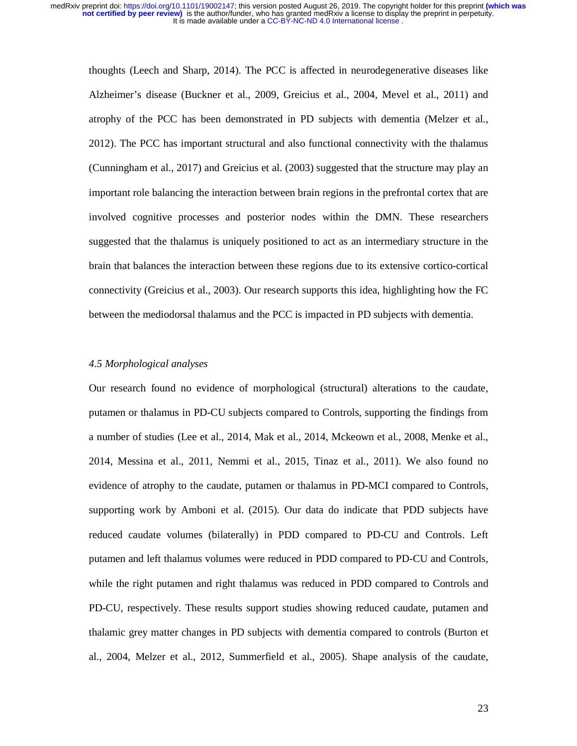thoughts (Leech and Sharp, 2014). The PCC is affected in neurodegenerative diseases like Alzheimer's disease (Buckner et al., 2009, Greicius et al., 2004, Mevel et al., 2011) and atrophy of the PCC has been demonstrated in PD subjects with dementia (Melzer et al., 2012). The PCC has important structural and also functional connectivity with the thalamus (Cunningham et al., 2017) and Greicius et al. (2003) suggested that the structure may play an important role balancing the interaction between brain regions in the prefrontal cortex that are involved cognitive processes and posterior nodes within the DMN. These researchers suggested that the thalamus is uniquely positioned to act as an intermediary structure in the brain that balances the interaction between these regions due to its extensive cortico-cortical connectivity (Greicius et al., 2003). Our research supports this idea, highlighting how the FC between the mediodorsal thalamus and the PCC is impacted in PD subjects with dementia.

# *4.5 Morphological analyses*

Our research found no evidence of morphological (structural) alterations to the caudate, putamen or thalamus in PD-CU subjects compared to Controls, supporting the findings from a number of studies (Lee et al., 2014, Mak et al., 2014, Mckeown et al., 2008, Menke et al., 2014, Messina et al., 2011, Nemmi et al., 2015, Tinaz et al., 2011). We also found no evidence of atrophy to the caudate, putamen or thalamus in PD-MCI compared to Controls, supporting work by Amboni et al. (2015). Our data do indicate that PDD subjects have reduced caudate volumes (bilaterally) in PDD compared to PD-CU and Controls. Left putamen and left thalamus volumes were reduced in PDD compared to PD-CU and Controls, while the right putamen and right thalamus was reduced in PDD compared to Controls and PD-CU, respectively. These results support studies showing reduced caudate, putamen and thalamic grey matter changes in PD subjects with dementia compared to controls (Burton et al., 2004, Melzer et al., 2012, Summerfield et al., 2005). Shape analysis of the caudate,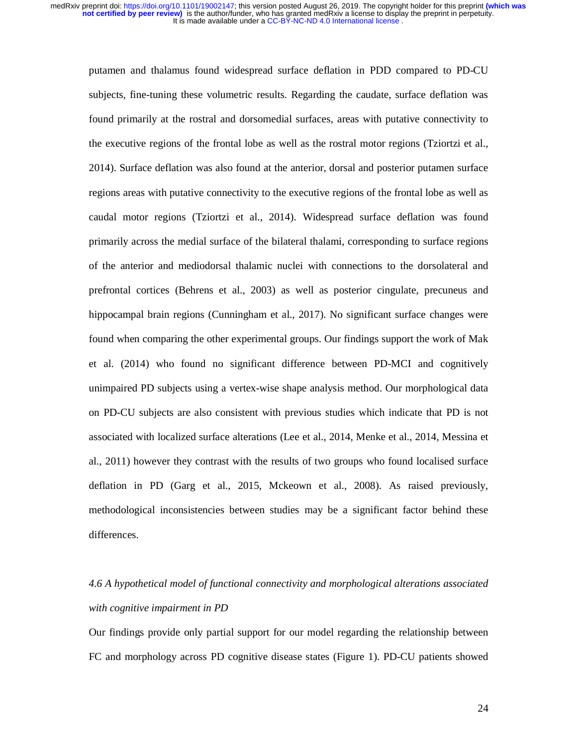putamen and thalamus found widespread surface deflation in PDD compared to PD-CU subjects, fine-tuning these volumetric results. Regarding the caudate, surface deflation was found primarily at the rostral and dorsomedial surfaces, areas with putative connectivity to the executive regions of the frontal lobe as well as the rostral motor regions (Tziortzi et al., 2014). Surface deflation was also found at the anterior, dorsal and posterior putamen surface regions areas with putative connectivity to the executive regions of the frontal lobe as well as caudal motor regions (Tziortzi et al., 2014). Widespread surface deflation was found primarily across the medial surface of the bilateral thalami, corresponding to surface regions of the anterior and mediodorsal thalamic nuclei with connections to the dorsolateral and prefrontal cortices (Behrens et al., 2003) as well as posterior cingulate, precuneus and hippocampal brain regions (Cunningham et al., 2017). No significant surface changes were found when comparing the other experimental groups. Our findings support the work of Mak et al. (2014) who found no significant difference between PD-MCI and cognitively unimpaired PD subjects using a vertex-wise shape analysis method. Our morphological data on PD-CU subjects are also consistent with previous studies which indicate that PD is not associated with localized surface alterations (Lee et al., 2014, Menke et al., 2014, Messina et al., 2011) however they contrast with the results of two groups who found localised surface deflation in PD (Garg et al., 2015, Mckeown et al., 2008). As raised previously, methodological inconsistencies between studies may be a significant factor behind these differences.

# *4.6 A hypothetical model of functional connectivity and morphological alterations associated with cognitive impairment in PD*

Our findings provide only partial support for our model regarding the relationship between FC and morphology across PD cognitive disease states (Figure 1). PD-CU patients showed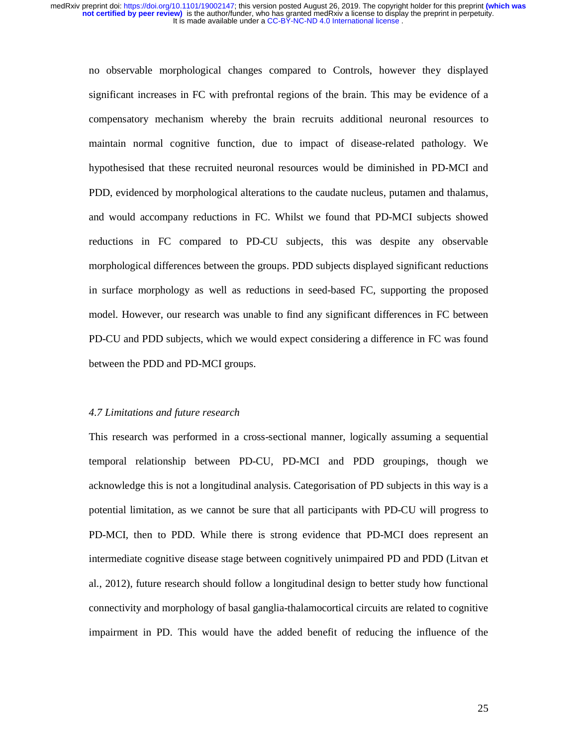no observable morphological changes compared to Controls, however they displayed significant increases in FC with prefrontal regions of the brain. This may be evidence of a compensatory mechanism whereby the brain recruits additional neuronal resources to maintain normal cognitive function, due to impact of disease-related pathology. We hypothesised that these recruited neuronal resources would be diminished in PD-MCI and PDD, evidenced by morphological alterations to the caudate nucleus, putamen and thalamus, and would accompany reductions in FC. Whilst we found that PD-MCI subjects showed reductions in FC compared to PD-CU subjects, this was despite any observable morphological differences between the groups. PDD subjects displayed significant reductions in surface morphology as well as reductions in seed-based FC, supporting the proposed model. However, our research was unable to find any significant differences in FC between PD-CU and PDD subjects, which we would expect considering a difference in FC was found between the PDD and PD-MCI groups.

# *4.7 Limitations and future research*

This research was performed in a cross-sectional manner, logically assuming a sequential temporal relationship between PD-CU, PD-MCI and PDD groupings, though we acknowledge this is not a longitudinal analysis. Categorisation of PD subjects in this way is a potential limitation, as we cannot be sure that all participants with PD-CU will progress to PD-MCI, then to PDD. While there is strong evidence that PD-MCI does represent an intermediate cognitive disease stage between cognitively unimpaired PD and PDD (Litvan et al., 2012), future research should follow a longitudinal design to better study how functional connectivity and morphology of basal ganglia-thalamocortical circuits are related to cognitive impairment in PD. This would have the added benefit of reducing the influence of the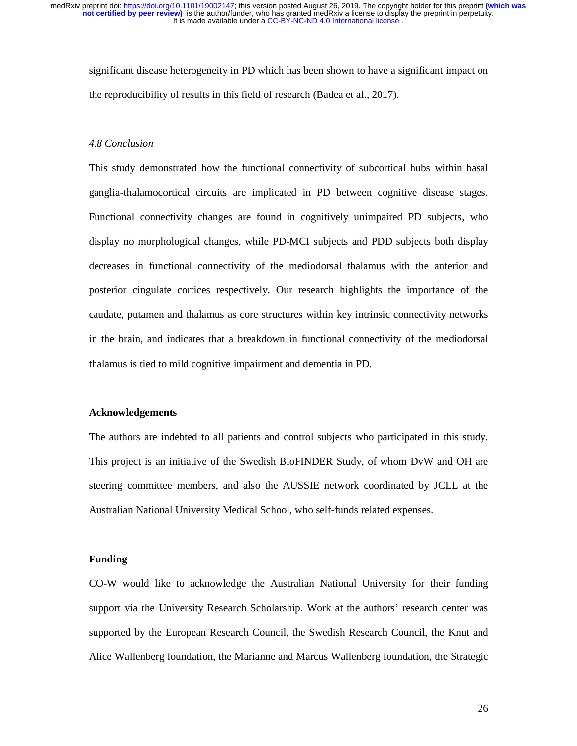significant disease heterogeneity in PD which has been shown to have a significant impact on the reproducibility of results in this field of research (Badea et al., 2017).

#### *4.8 Conclusion*

This study demonstrated how the functional connectivity of subcortical hubs within basal ganglia-thalamocortical circuits are implicated in PD between cognitive disease stages. Functional connectivity changes are found in cognitively unimpaired PD subjects, who display no morphological changes, while PD-MCI subjects and PDD subjects both display decreases in functional connectivity of the mediodorsal thalamus with the anterior and posterior cingulate cortices respectively. Our research highlights the importance of the caudate, putamen and thalamus as core structures within key intrinsic connectivity networks in the brain, and indicates that a breakdown in functional connectivity of the mediodorsal thalamus is tied to mild cognitive impairment and dementia in PD.

# **Acknowledgements**

The authors are indebted to all patients and control subjects who participated in this study. This project is an initiative of the Swedish BioFINDER Study, of whom DvW and OH are steering committee members, and also the AUSSIE network coordinated by JCLL at the Australian National University Medical School, who self-funds related expenses.

#### **Funding**

CO-W would like to acknowledge the Australian National University for their funding support via the University Research Scholarship. Work at the authors' research center was supported by the European Research Council, the Swedish Research Council, the Knut and Alice Wallenberg foundation, the Marianne and Marcus Wallenberg foundation, the Strategic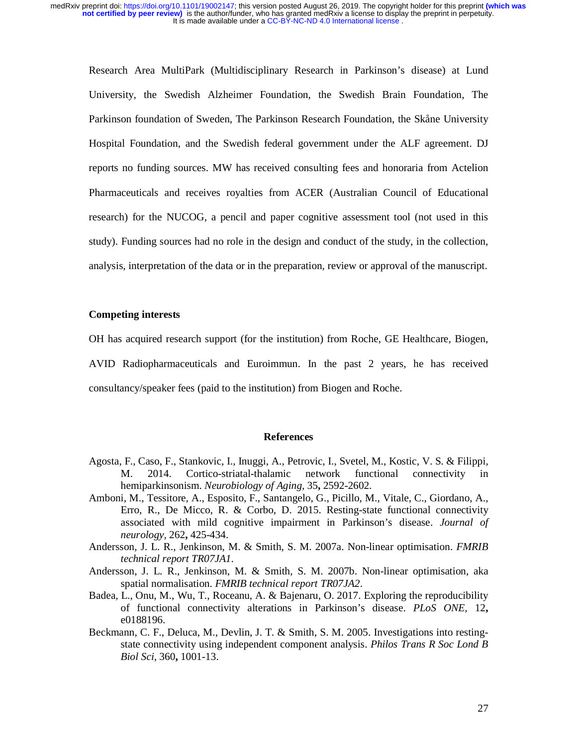Research Area MultiPark (Multidisciplinary Research in Parkinson's disease) at Lund University, the Swedish Alzheimer Foundation, the Swedish Brain Foundation, The Parkinson foundation of Sweden, The Parkinson Research Foundation, the Skåne University Hospital Foundation, and the Swedish federal government under the ALF agreement. DJ reports no funding sources. MW has received consulting fees and honoraria from Actelion Pharmaceuticals and receives royalties from ACER (Australian Council of Educational research) for the NUCOG, a pencil and paper cognitive assessment tool (not used in this study). Funding sources had no role in the design and conduct of the study, in the collection, analysis, interpretation of the data or in the preparation, review or approval of the manuscript.

#### **Competing interests**

OH has acquired research support (for the institution) from Roche, GE Healthcare, Biogen,

AVID Radiopharmaceuticals and Euroimmun. In the past 2 years, he has received consultancy/speaker fees (paid to the institution) from Biogen and Roche.

# **References**

- Agosta, F., Caso, F., Stankovic, I., Inuggi, A., Petrovic, I., Svetel, M., Kostic, V. S. & Filippi, M. 2014. Cortico-striatal-thalamic network functional connectivity in hemiparkinsonism. *Neurobiology of Aging,* 35**,** 2592-2602.
- Amboni, M., Tessitore, A., Esposito, F., Santangelo, G., Picillo, M., Vitale, C., Giordano, A., Erro, R., De Micco, R. & Corbo, D. 2015. Resting-state functional connectivity associated with mild cognitive impairment in Parkinson's disease. *Journal of neurology,* 262**,** 425-434.
- Andersson, J. L. R., Jenkinson, M. & Smith, S. M. 2007a. Non-linear optimisation. *FMRIB technical report TR07JA1*.
- Andersson, J. L. R., Jenkinson, M. & Smith, S. M. 2007b. Non-linear optimisation, aka spatial normalisation. *FMRIB technical report TR07JA2*.
- Badea, L., Onu, M., Wu, T., Roceanu, A. & Bajenaru, O. 2017. Exploring the reproducibility of functional connectivity alterations in Parkinson's disease. *PLoS ONE,* 12**,** e0188196.
- Beckmann, C. F., Deluca, M., Devlin, J. T. & Smith, S. M. 2005. Investigations into restingstate connectivity using independent component analysis. *Philos Trans R Soc Lond B Biol Sci,* 360**,** 1001-13.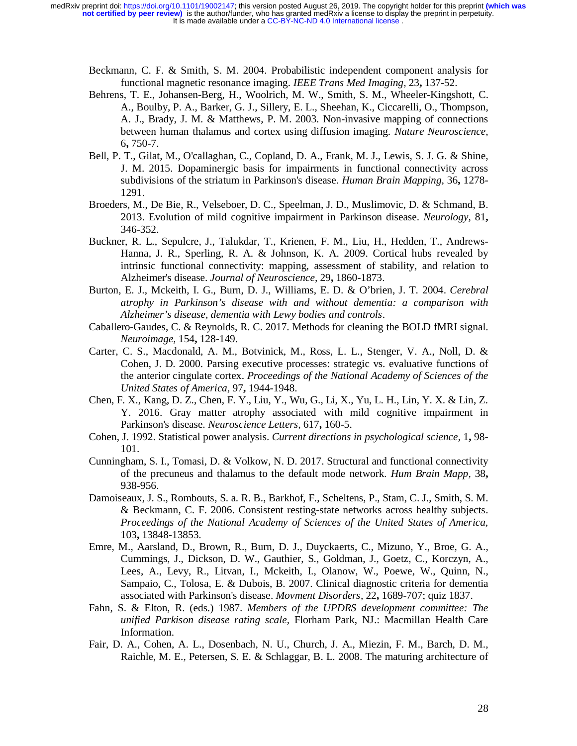- Beckmann, C. F. & Smith, S. M. 2004. Probabilistic independent component analysis for functional magnetic resonance imaging. *IEEE Trans Med Imaging,* 23**,** 137-52.
- Behrens, T. E., Johansen-Berg, H., Woolrich, M. W., Smith, S. M., Wheeler-Kingshott, C. A., Boulby, P. A., Barker, G. J., Sillery, E. L., Sheehan, K., Ciccarelli, O., Thompson, A. J., Brady, J. M. & Matthews, P. M. 2003. Non-invasive mapping of connections between human thalamus and cortex using diffusion imaging. *Nature Neuroscience,* 6**,** 750-7.
- Bell, P. T., Gilat, M., O'callaghan, C., Copland, D. A., Frank, M. J., Lewis, S. J. G. & Shine, J. M. 2015. Dopaminergic basis for impairments in functional connectivity across subdivisions of the striatum in Parkinson's disease. *Human Brain Mapping,* 36**,** 1278- 1291.
- Broeders, M., De Bie, R., Velseboer, D. C., Speelman, J. D., Muslimovic, D. & Schmand, B. 2013. Evolution of mild cognitive impairment in Parkinson disease. *Neurology,* 81**,** 346-352.
- Buckner, R. L., Sepulcre, J., Talukdar, T., Krienen, F. M., Liu, H., Hedden, T., Andrews-Hanna, J. R., Sperling, R. A. & Johnson, K. A. 2009. Cortical hubs revealed by intrinsic functional connectivity: mapping, assessment of stability, and relation to Alzheimer's disease. *Journal of Neuroscience,* 29**,** 1860-1873.
- Burton, E. J., Mckeith, I. G., Burn, D. J., Williams, E. D. & O'brien, J. T. 2004. *Cerebral atrophy in Parkinson's disease with and without dementia: a comparison with Alzheimer's disease, dementia with Lewy bodies and controls*.
- Caballero-Gaudes, C. & Reynolds, R. C. 2017. Methods for cleaning the BOLD fMRI signal. *Neuroimage,* 154**,** 128-149.
- Carter, C. S., Macdonald, A. M., Botvinick, M., Ross, L. L., Stenger, V. A., Noll, D. & Cohen, J. D. 2000. Parsing executive processes: strategic vs. evaluative functions of the anterior cingulate cortex. *Proceedings of the National Academy of Sciences of the United States of America,* 97**,** 1944-1948.
- Chen, F. X., Kang, D. Z., Chen, F. Y., Liu, Y., Wu, G., Li, X., Yu, L. H., Lin, Y. X. & Lin, Z. Y. 2016. Gray matter atrophy associated with mild cognitive impairment in Parkinson's disease. *Neuroscience Letters,* 617**,** 160-5.
- Cohen, J. 1992. Statistical power analysis. *Current directions in psychological science,* 1**,** 98- 101.
- Cunningham, S. I., Tomasi, D. & Volkow, N. D. 2017. Structural and functional connectivity of the precuneus and thalamus to the default mode network. *Hum Brain Mapp,* 38**,** 938-956.
- Damoiseaux, J. S., Rombouts, S. a. R. B., Barkhof, F., Scheltens, P., Stam, C. J., Smith, S. M. & Beckmann, C. F. 2006. Consistent resting-state networks across healthy subjects. *Proceedings of the National Academy of Sciences of the United States of America,* 103**,** 13848-13853.
- Emre, M., Aarsland, D., Brown, R., Burn, D. J., Duyckaerts, C., Mizuno, Y., Broe, G. A., Cummings, J., Dickson, D. W., Gauthier, S., Goldman, J., Goetz, C., Korczyn, A., Lees, A., Levy, R., Litvan, I., Mckeith, I., Olanow, W., Poewe, W., Quinn, N., Sampaio, C., Tolosa, E. & Dubois, B. 2007. Clinical diagnostic criteria for dementia associated with Parkinson's disease. *Movment Disorders,* 22**,** 1689-707; quiz 1837.
- Fahn, S. & Elton, R. (eds.) 1987. *Members of the UPDRS development committee: The unified Parkison disease rating scale,* Florham Park, NJ.: Macmillan Health Care Information.
- Fair, D. A., Cohen, A. L., Dosenbach, N. U., Church, J. A., Miezin, F. M., Barch, D. M., Raichle, M. E., Petersen, S. E. & Schlaggar, B. L. 2008. The maturing architecture of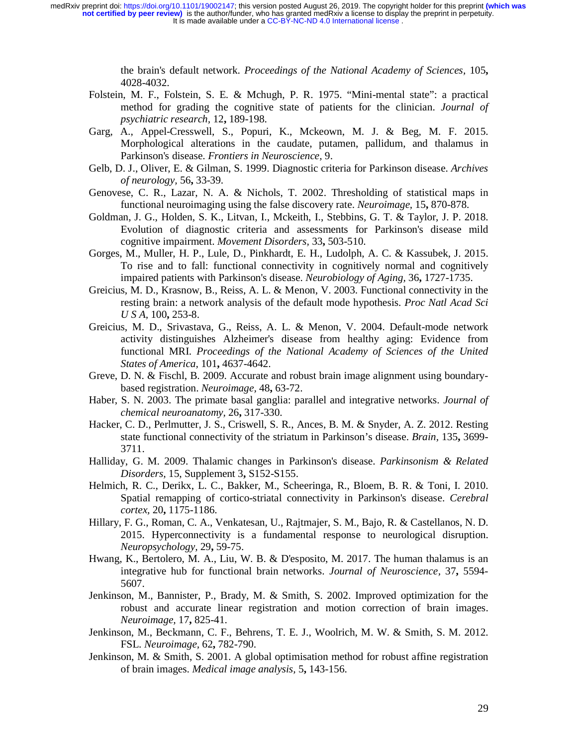> the brain's default network. *Proceedings of the National Academy of Sciences,* 105**,** 4028-4032.

- Folstein, M. F., Folstein, S. E. & Mchugh, P. R. 1975. "Mini-mental state": a practical method for grading the cognitive state of patients for the clinician. *Journal of psychiatric research,* 12**,** 189-198.
- Garg, A., Appel-Cresswell, S., Popuri, K., Mckeown, M. J. & Beg, M. F. 2015. Morphological alterations in the caudate, putamen, pallidum, and thalamus in Parkinson's disease. *Frontiers in Neuroscience,* 9.
- Gelb, D. J., Oliver, E. & Gilman, S. 1999. Diagnostic criteria for Parkinson disease. *Archives of neurology,* 56**,** 33-39.
- Genovese, C. R., Lazar, N. A. & Nichols, T. 2002. Thresholding of statistical maps in functional neuroimaging using the false discovery rate. *Neuroimage,* 15**,** 870-878.
- Goldman, J. G., Holden, S. K., Litvan, I., Mckeith, I., Stebbins, G. T. & Taylor, J. P. 2018. Evolution of diagnostic criteria and assessments for Parkinson's disease mild cognitive impairment. *Movement Disorders,* 33**,** 503-510.
- Gorges, M., Muller, H. P., Lule, D., Pinkhardt, E. H., Ludolph, A. C. & Kassubek, J. 2015. To rise and to fall: functional connectivity in cognitively normal and cognitively impaired patients with Parkinson's disease. *Neurobiology of Aging,* 36**,** 1727-1735.
- Greicius, M. D., Krasnow, B., Reiss, A. L. & Menon, V. 2003. Functional connectivity in the resting brain: a network analysis of the default mode hypothesis. *Proc Natl Acad Sci U S A,* 100**,** 253-8.
- Greicius, M. D., Srivastava, G., Reiss, A. L. & Menon, V. 2004. Default-mode network activity distinguishes Alzheimer's disease from healthy aging: Evidence from functional MRI. *Proceedings of the National Academy of Sciences of the United States of America,* 101**,** 4637-4642.
- Greve, D. N. & Fischl, B. 2009. Accurate and robust brain image alignment using boundarybased registration. *Neuroimage,* 48**,** 63-72.
- Haber, S. N. 2003. The primate basal ganglia: parallel and integrative networks. *Journal of chemical neuroanatomy,* 26**,** 317-330.
- Hacker, C. D., Perlmutter, J. S., Criswell, S. R., Ances, B. M. & Snyder, A. Z. 2012. Resting state functional connectivity of the striatum in Parkinson's disease. *Brain,* 135**,** 3699- 3711.
- Halliday, G. M. 2009. Thalamic changes in Parkinson's disease. *Parkinsonism & Related Disorders,* 15, Supplement 3**,** S152-S155.
- Helmich, R. C., Derikx, L. C., Bakker, M., Scheeringa, R., Bloem, B. R. & Toni, I. 2010. Spatial remapping of cortico-striatal connectivity in Parkinson's disease. *Cerebral cortex,* 20**,** 1175-1186.
- Hillary, F. G., Roman, C. A., Venkatesan, U., Rajtmajer, S. M., Bajo, R. & Castellanos, N. D. 2015. Hyperconnectivity is a fundamental response to neurological disruption. *Neuropsychology,* 29**,** 59-75.
- Hwang, K., Bertolero, M. A., Liu, W. B. & D'esposito, M. 2017. The human thalamus is an integrative hub for functional brain networks. *Journal of Neuroscience,* 37**,** 5594- 5607.
- Jenkinson, M., Bannister, P., Brady, M. & Smith, S. 2002. Improved optimization for the robust and accurate linear registration and motion correction of brain images. *Neuroimage,* 17**,** 825-41.
- Jenkinson, M., Beckmann, C. F., Behrens, T. E. J., Woolrich, M. W. & Smith, S. M. 2012. FSL. *Neuroimage,* 62**,** 782-790.
- Jenkinson, M. & Smith, S. 2001. A global optimisation method for robust affine registration of brain images. *Medical image analysis,* 5**,** 143-156.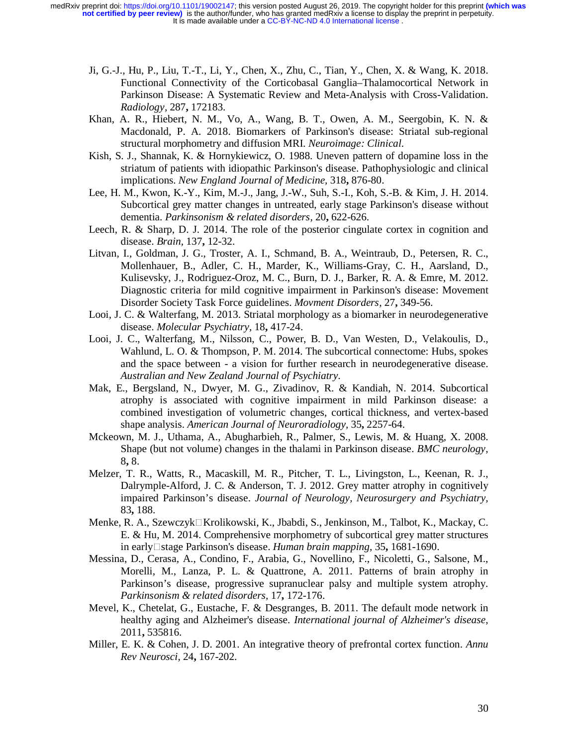- Ji, G.-J., Hu, P., Liu, T.-T., Li, Y., Chen, X., Zhu, C., Tian, Y., Chen, X. & Wang, K. 2018. Functional Connectivity of the Corticobasal Ganglia–Thalamocortical Network in Parkinson Disease: A Systematic Review and Meta-Analysis with Cross-Validation. *Radiology,* 287**,** 172183.
- Khan, A. R., Hiebert, N. M., Vo, A., Wang, B. T., Owen, A. M., Seergobin, K. N. & Macdonald, P. A. 2018. Biomarkers of Parkinson's disease: Striatal sub-regional structural morphometry and diffusion MRI. *Neuroimage: Clinical*.
- Kish, S. J., Shannak, K. & Hornykiewicz, O. 1988. Uneven pattern of dopamine loss in the striatum of patients with idiopathic Parkinson's disease. Pathophysiologic and clinical implications. *New England Journal of Medicine,* 318**,** 876-80.
- Lee, H. M., Kwon, K.-Y., Kim, M.-J., Jang, J.-W., Suh, S.-I., Koh, S.-B. & Kim, J. H. 2014. Subcortical grey matter changes in untreated, early stage Parkinson's disease without dementia. *Parkinsonism & related disorders,* 20**,** 622-626.
- Leech, R. & Sharp, D. J. 2014. The role of the posterior cingulate cortex in cognition and disease. *Brain,* 137**,** 12-32.
- Litvan, I., Goldman, J. G., Troster, A. I., Schmand, B. A., Weintraub, D., Petersen, R. C., Mollenhauer, B., Adler, C. H., Marder, K., Williams-Gray, C. H., Aarsland, D., Kulisevsky, J., Rodriguez-Oroz, M. C., Burn, D. J., Barker, R. A. & Emre, M. 2012. Diagnostic criteria for mild cognitive impairment in Parkinson's disease: Movement Disorder Society Task Force guidelines. *Movment Disorders,* 27**,** 349-56.
- Looi, J. C. & Walterfang, M. 2013. Striatal morphology as a biomarker in neurodegenerative disease. *Molecular Psychiatry,* 18**,** 417-24.
- Looi, J. C., Walterfang, M., Nilsson, C., Power, B. D., Van Westen, D., Velakoulis, D., Wahlund, L. O. & Thompson, P. M. 2014. The subcortical connectome: Hubs, spokes and the space between - a vision for further research in neurodegenerative disease. *Australian and New Zealand Journal of Psychiatry*.
- Mak, E., Bergsland, N., Dwyer, M. G., Zivadinov, R. & Kandiah, N. 2014. Subcortical atrophy is associated with cognitive impairment in mild Parkinson disease: a combined investigation of volumetric changes, cortical thickness, and vertex-based shape analysis. *American Journal of Neuroradiology,* 35**,** 2257-64.
- Mckeown, M. J., Uthama, A., Abugharbieh, R., Palmer, S., Lewis, M. & Huang, X. 2008. Shape (but not volume) changes in the thalami in Parkinson disease. *BMC neurology,* 8**,** 8.
- Melzer, T. R., Watts, R., Macaskill, M. R., Pitcher, T. L., Livingston, L., Keenan, R. J., Dalrymple-Alford, J. C. & Anderson, T. J. 2012. Grey matter atrophy in cognitively impaired Parkinson's disease. *Journal of Neurology, Neurosurgery and Psychiatry,* 83**,** 188.
- Menke, R. A., Szewczyk□Krolikowski, K., Jbabdi, S., Jenkinson, M., Talbot, K., Mackay, C. E. & Hu, M. 2014. Comprehensive morphometry of subcortical grey matter structures in early□ stage Parkinson's disease. *Human brain mapping*, 35, 1681-1690.
- Messina, D., Cerasa, A., Condino, F., Arabia, G., Novellino, F., Nicoletti, G., Salsone, M., Morelli, M., Lanza, P. L. & Quattrone, A. 2011. Patterns of brain atrophy in Parkinson's disease, progressive supranuclear palsy and multiple system atrophy. *Parkinsonism & related disorders,* 17**,** 172-176.
- Mevel, K., Chetelat, G., Eustache, F. & Desgranges, B. 2011. The default mode network in healthy aging and Alzheimer's disease. *International journal of Alzheimer's disease,* 2011**,** 535816.
- Miller, E. K. & Cohen, J. D. 2001. An integrative theory of prefrontal cortex function. *Annu Rev Neurosci,* 24**,** 167-202.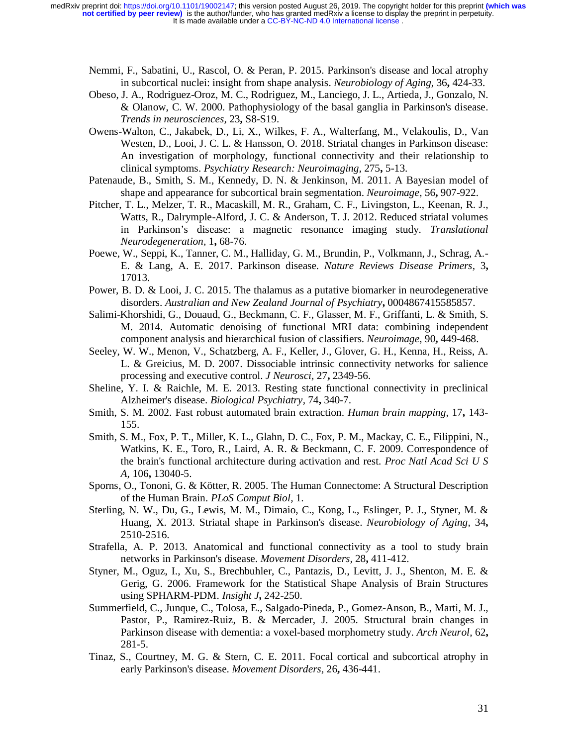- Nemmi, F., Sabatini, U., Rascol, O. & Peran, P. 2015. Parkinson's disease and local atrophy in subcortical nuclei: insight from shape analysis. *Neurobiology of Aging,* 36**,** 424-33.
- Obeso, J. A., Rodriguez-Oroz, M. C., Rodriguez, M., Lanciego, J. L., Artieda, J., Gonzalo, N. & Olanow, C. W. 2000. Pathophysiology of the basal ganglia in Parkinson's disease. *Trends in neurosciences,* 23**,** S8-S19.
- Owens-Walton, C., Jakabek, D., Li, X., Wilkes, F. A., Walterfang, M., Velakoulis, D., Van Westen, D., Looi, J. C. L. & Hansson, O. 2018. Striatal changes in Parkinson disease: An investigation of morphology, functional connectivity and their relationship to clinical symptoms. *Psychiatry Research: Neuroimaging,* 275**,** 5-13.
- Patenaude, B., Smith, S. M., Kennedy, D. N. & Jenkinson, M. 2011. A Bayesian model of shape and appearance for subcortical brain segmentation. *Neuroimage,* 56**,** 907-922.
- Pitcher, T. L., Melzer, T. R., Macaskill, M. R., Graham, C. F., Livingston, L., Keenan, R. J., Watts, R., Dalrymple-Alford, J. C. & Anderson, T. J. 2012. Reduced striatal volumes in Parkinson's disease: a magnetic resonance imaging study. *Translational Neurodegeneration,* 1**,** 68-76.
- Poewe, W., Seppi, K., Tanner, C. M., Halliday, G. M., Brundin, P., Volkmann, J., Schrag, A.- E. & Lang, A. E. 2017. Parkinson disease. *Nature Reviews Disease Primers,* 3**,** 17013.
- Power, B. D. & Looi, J. C. 2015. The thalamus as a putative biomarker in neurodegenerative disorders. *Australian and New Zealand Journal of Psychiatry***,** 0004867415585857.
- Salimi-Khorshidi, G., Douaud, G., Beckmann, C. F., Glasser, M. F., Griffanti, L. & Smith, S. M. 2014. Automatic denoising of functional MRI data: combining independent component analysis and hierarchical fusion of classifiers. *Neuroimage,* 90**,** 449-468.
- Seeley, W. W., Menon, V., Schatzberg, A. F., Keller, J., Glover, G. H., Kenna, H., Reiss, A. L. & Greicius, M. D. 2007. Dissociable intrinsic connectivity networks for salience processing and executive control. *J Neurosci,* 27**,** 2349-56.
- Sheline, Y. I. & Raichle, M. E. 2013. Resting state functional connectivity in preclinical Alzheimer's disease. *Biological Psychiatry,* 74**,** 340-7.
- Smith, S. M. 2002. Fast robust automated brain extraction. *Human brain mapping,* 17**,** 143- 155.
- Smith, S. M., Fox, P. T., Miller, K. L., Glahn, D. C., Fox, P. M., Mackay, C. E., Filippini, N., Watkins, K. E., Toro, R., Laird, A. R. & Beckmann, C. F. 2009. Correspondence of the brain's functional architecture during activation and rest. *Proc Natl Acad Sci U S A,* 106**,** 13040-5.
- Sporns, O., Tononi, G. & Kötter, R. 2005. The Human Connectome: A Structural Description of the Human Brain. *PLoS Comput Biol,* 1.
- Sterling, N. W., Du, G., Lewis, M. M., Dimaio, C., Kong, L., Eslinger, P. J., Styner, M. & Huang, X. 2013. Striatal shape in Parkinson's disease. *Neurobiology of Aging,* 34**,** 2510-2516.
- Strafella, A. P. 2013. Anatomical and functional connectivity as a tool to study brain networks in Parkinson's disease. *Movement Disorders,* 28**,** 411-412.
- Styner, M., Oguz, I., Xu, S., Brechbuhler, C., Pantazis, D., Levitt, J. J., Shenton, M. E. & Gerig, G. 2006. Framework for the Statistical Shape Analysis of Brain Structures using SPHARM-PDM. *Insight J***,** 242-250.
- Summerfield, C., Junque, C., Tolosa, E., Salgado-Pineda, P., Gomez-Anson, B., Marti, M. J., Pastor, P., Ramirez-Ruiz, B. & Mercader, J. 2005. Structural brain changes in Parkinson disease with dementia: a voxel-based morphometry study. *Arch Neurol,* 62**,** 281-5.
- Tinaz, S., Courtney, M. G. & Stern, C. E. 2011. Focal cortical and subcortical atrophy in early Parkinson's disease. *Movement Disorders,* 26**,** 436-441.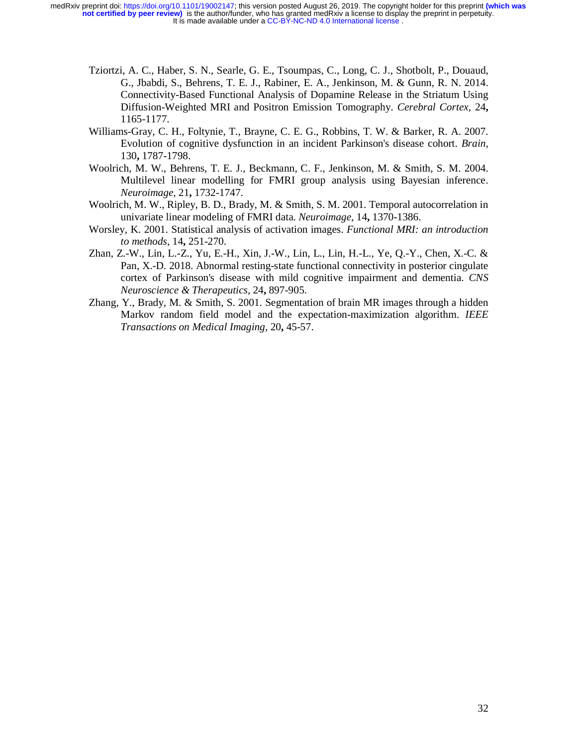- Tziortzi, A. C., Haber, S. N., Searle, G. E., Tsoumpas, C., Long, C. J., Shotbolt, P., Douaud, G., Jbabdi, S., Behrens, T. E. J., Rabiner, E. A., Jenkinson, M. & Gunn, R. N. 2014. Connectivity-Based Functional Analysis of Dopamine Release in the Striatum Using Diffusion-Weighted MRI and Positron Emission Tomography. *Cerebral Cortex,* 24**,** 1165-1177.
- Williams-Gray, C. H., Foltynie, T., Brayne, C. E. G., Robbins, T. W. & Barker, R. A. 2007. Evolution of cognitive dysfunction in an incident Parkinson's disease cohort. *Brain,* 130**,** 1787-1798.
- Woolrich, M. W., Behrens, T. E. J., Beckmann, C. F., Jenkinson, M. & Smith, S. M. 2004. Multilevel linear modelling for FMRI group analysis using Bayesian inference. *Neuroimage,* 21**,** 1732-1747.
- Woolrich, M. W., Ripley, B. D., Brady, M. & Smith, S. M. 2001. Temporal autocorrelation in univariate linear modeling of FMRI data. *Neuroimage,* 14**,** 1370-1386.
- Worsley, K. 2001. Statistical analysis of activation images. *Functional MRI: an introduction to methods,* 14**,** 251-270.
- Zhan, Z.-W., Lin, L.-Z., Yu, E.-H., Xin, J.-W., Lin, L., Lin, H.-L., Ye, Q.-Y., Chen, X.-C. & Pan, X.-D. 2018. Abnormal resting-state functional connectivity in posterior cingulate cortex of Parkinson's disease with mild cognitive impairment and dementia. *CNS Neuroscience & Therapeutics,* 24**,** 897-905.
- Zhang, Y., Brady, M. & Smith, S. 2001. Segmentation of brain MR images through a hidden Markov random field model and the expectation-maximization algorithm. *IEEE Transactions on Medical Imaging,* 20**,** 45-57.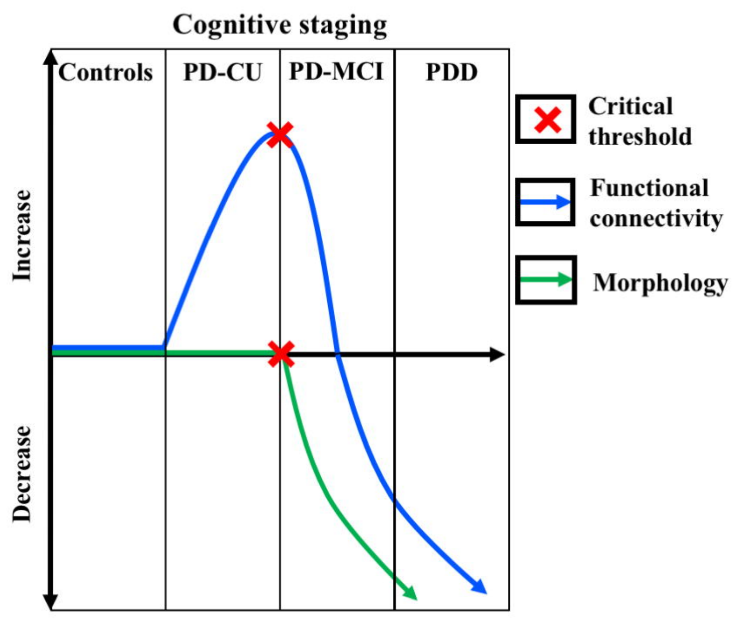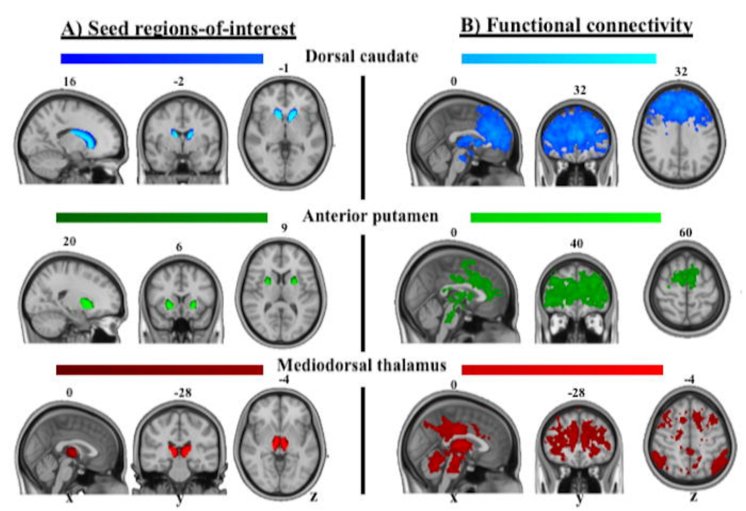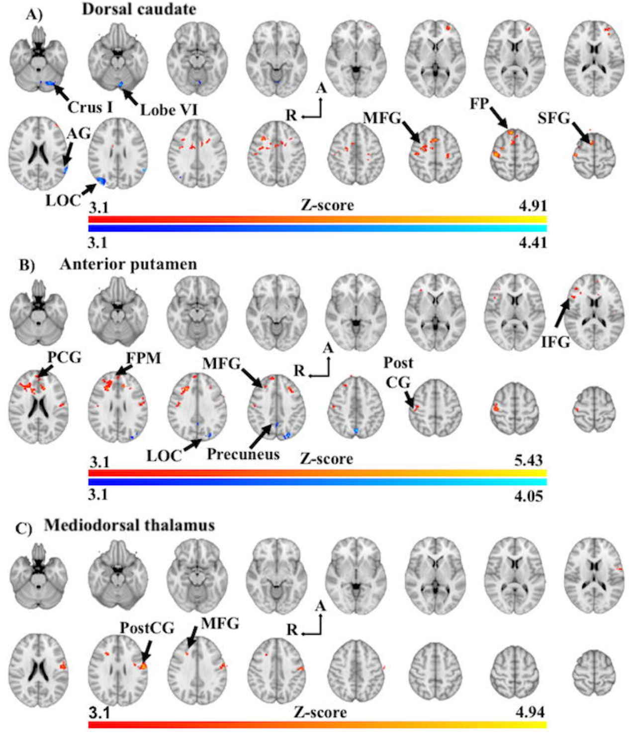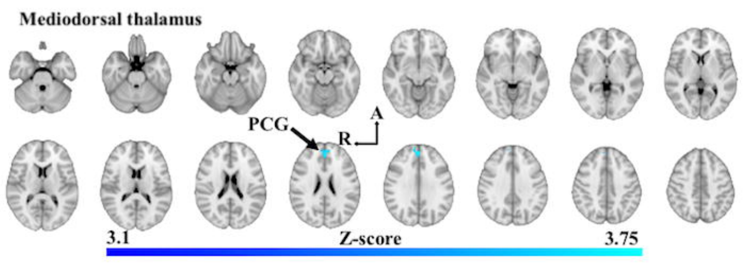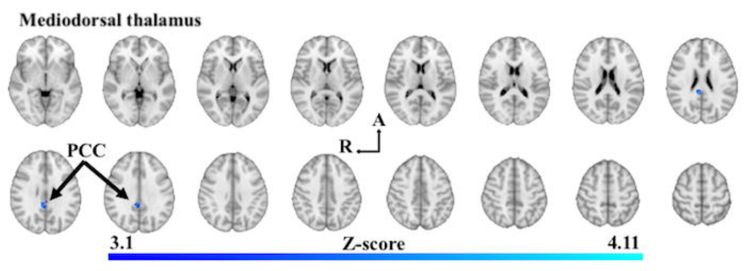

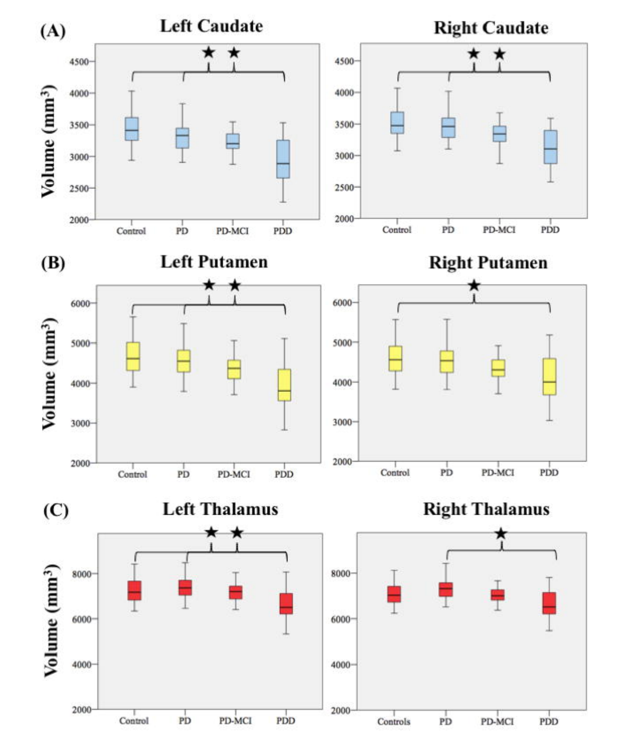